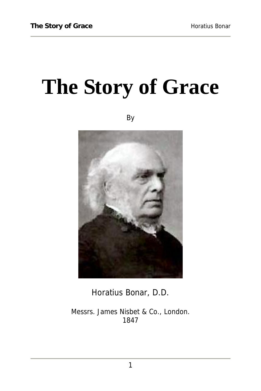# **The Story of Grace**

By



Horatius Bonar, D.D.

Messrs. James Nisbet & Co., London. 1847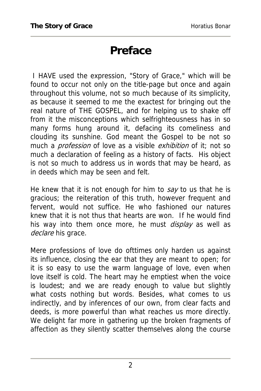## **Preface**

 I HAVE used the expression, "Story of Grace," which will be found to occur not only on the title-page but once and again throughout this volume, not so much because of its simplicity, as because it seemed to me the exactest for bringing out the real nature of THE GOSPEL, and for helping us to shake off from it the misconceptions which selfrighteousness has in so many forms hung around it, defacing its comeliness and clouding its sunshine. God meant the Gospel to be not so much a *profession* of love as a visible *exhibition* of it; not so much a declaration of feeling as a history of facts. His object is not so much to address us in words that may be heard, as in deeds which may be seen and felt.

He knew that it is not enough for him to say to us that he is gracious; the reiteration of this truth, however frequent and fervent, would not suffice. He who fashioned our natures knew that it is not thus that hearts are won. If he would find his way into them once more, he must *display* as well as declare his grace.

Mere professions of love do ofttimes only harden us against its influence, closing the ear that they are meant to open; for it is so easy to use the warm language of love, even when love itself is cold. The heart may he emptiest when the voice is loudest; and we are ready enough to value but slightly what costs nothing but words. Besides, what comes to us indirectly, and by inferences of our own, from clear facts and deeds, is more powerful than what reaches us more directly. We delight far more in gathering up the broken fragments of affection as they silently scatter themselves along the course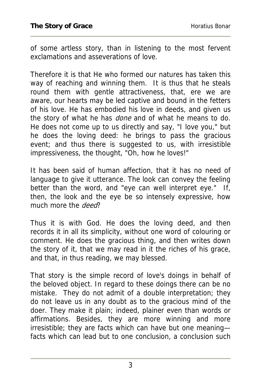of some artless story, than in listening to the most fervent exclamations and asseverations of love.

Therefore it is that He who formed our natures has taken this way of reaching and winning them. It is thus that he steals round them with gentle attractiveness, that, ere we are aware, our hearts may be led captive and bound in the fetters of his love. He has embodied his love in deeds, and given us the story of what he has *done* and of what he means to do. He does not come up to us directly and say, "I love you," but he does the loving deed: he brings to pass the gracious event; and thus there is suggested to us, with irresistible impressiveness, the thought, "Oh, how he loves!"

It has been said of human affection, that it has no need of language to give it utterance. The look can convey the feeling better than the word, and "eye can well interpret eye." If, then, the look and the eye be so intensely expressive, how much more the *deed*?

Thus it is with God. He does the loving deed, and then records it in all its simplicity, without one word of colouring or comment. He does the gracious thing, and then writes down the story of it, that we may read in it the riches of his grace, and that, in thus reading, we may blessed.

That story is the simple record of love's doings in behalf of the beloved object. In regard to these doings there can be no mistake. They do not admit of a double interpretation; they do not leave us in any doubt as to the gracious mind of the doer. They make it plain; indeed, plainer even than words or affirmations. Besides, they are more winning and more irresistible; they are facts which can have but one meaning facts which can lead but to one conclusion, a conclusion such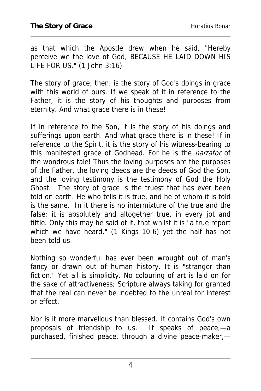as that which the Apostle drew when he said, "Hereby perceive we the love of God, BECAUSE HE LAID DOWN HIS LIFE FOR US." (1 John 3:16)

The story of grace, then, is the story of God's doings in grace with this world of ours. If we speak of it in reference to the Father, it is the story of his thoughts and purposes from eternity. And what grace there is in these!

If in reference to the Son, it is the story of his doings and sufferings upon earth. And what grace there is in these! If in reference to the Spirit, it is the story of his witness-bearing to this manifested grace of Godhead. For he is the *narrator* of the wondrous tale! Thus the loving purposes are the purposes of the Father, the loving deeds are the deeds of God the Son, and the loving testimony is the testimony of God the Holy Ghost. The story of grace is the truest that has ever been told on earth. He who tells it is true, and he of whom it is told is the same. In it there is no intermixture of the true and the false; it is absolutely and altogether true, in every jot and tittle. Only this may he said of it, that whilst it is "a true report which we have heard," (1 Kings 10:6) yet the half has not been told us.

Nothing so wonderful has ever been wrought out of man's fancy or drawn out of human history. It is "stranger than fiction." Yet all is simplicity. No colouring of art is laid on for the sake of attractiveness; Scripture always taking for granted that the real can never be indebted to the unreal for interest or effect.

Nor is it more marvellous than blessed. It contains God's own proposals of friendship to us. It speaks of peace,—a purchased, finished peace, through a divine peace-maker,—

4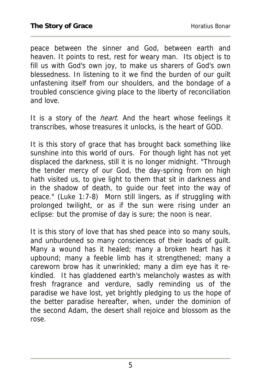peace between the sinner and God, between earth and heaven. It points to rest, rest for weary man. Its object is to fill us with God's own joy, to make us sharers of God's own blessedness. In listening to it we find the burden of our guilt unfastening itself from our shoulders, and the bondage of a troubled conscience giving place to the liberty of reconciliation and love.

It is a story of the *heart*. And the heart whose feelings it transcribes, whose treasures it unlocks, is the heart of GOD.

It is this story of grace that has brought back something like sunshine into this world of ours. For though light has not yet displaced the darkness, still it is no longer midnight. "Through the tender mercy of our God, the day-spring from on high hath visited us, to give light to them that sit in darkness and in the shadow of death, to guide our feet into the way of peace." (Luke 1:7-8) Morn still lingers, as if struggling with prolonged twilight, or as if the sun were rising under an eclipse: but the promise of day is sure; the noon is near.

It is this story of love that has shed peace into so many souls, and unburdened so many consciences of their loads of guilt. Many a wound has it healed; many a broken heart has it upbound; many a feeble limb has it strengthened; many a careworn brow has it unwrinkled; many a dim eye has it rekindled. It has gladdened earth's melancholy wastes as with fresh fragrance and verdure, sadly reminding us of the paradise we have lost, yet brightly pledging to us the hope of the better paradise hereafter, when, under the dominion of the second Adam, the desert shall rejoice and blossom as the rose.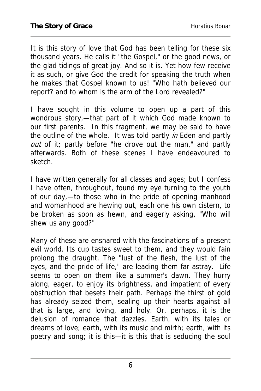It is this story of love that God has been telling for these six thousand years. He calls it "the Gospel," or the good news, or the glad tidings of great joy. And so it is. Yet how few receive it as such, or give God the credit for speaking the truth when he makes that Gospel known to us! "Who hath believed our report? and to whom is the arm of the Lord revealed?"

I have sought in this volume to open up a part of this wondrous story,—that part of it which God made known to our first parents. In this fragment, we may be said to have the outline of the whole. It was told partly in Eden and partly out of it; partly before "he drove out the man," and partly afterwards. Both of these scenes I have endeavoured to sketch.

I have written generally for all classes and ages; but I confess I have often, throughout, found my eye turning to the youth of our day,—to those who in the pride of opening manhood and womanhood are hewing out, each one his own cistern, to be broken as soon as hewn, and eagerly asking, "Who will shew us any good?"

Many of these are ensnared with the fascinations of a present evil world. Its cup tastes sweet to them, and they would fain prolong the draught. The "lust of the flesh, the lust of the eyes, and the pride of life," are leading them far astray. Life seems to open on them like a summer's dawn. They hurry along, eager, to enjoy its brightness, and impatient of every obstruction that besets their path. Perhaps the thirst of gold has already seized them, sealing up their hearts against all that is large, and loving, and holy. Or, perhaps, it is the delusion of romance that dazzles. Earth, with its tales or dreams of love; earth, with its music and mirth; earth, with its poetry and song; it is this—it is this that is seducing the soul

6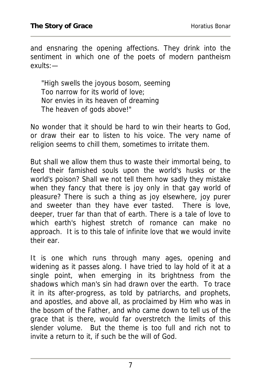and ensnaring the opening affections. They drink into the sentiment in which one of the poets of modern pantheism exults:—

"High swells the joyous bosom, seeming Too narrow for its world of love; Nor envies in its heaven of dreaming The heaven of gods above!"

No wonder that it should be hard to win their hearts to God, or draw their ear to listen to his voice. The very name of religion seems to chill them, sometimes to irritate them.

But shall we allow them thus to waste their immortal being, to feed their famished souls upon the world's husks or the world's poison? Shall we not tell them how sadly they mistake when they fancy that there is joy only in that gay world of pleasure? There is such a thing as joy elsewhere, joy purer and sweeter than they have ever tasted. There is love, deeper, truer far than that of earth. There is a tale of love to which earth's highest stretch of romance can make no approach. It is to this tale of infinite love that we would invite their ear.

It is one which runs through many ages, opening and widening as it passes along. I have tried to lay hold of it at a single point, when emerging in its brightness from the shadows which man's sin had drawn over the earth. To trace it in its after-progress, as told by patriarchs, and prophets, and apostles, and above all, as proclaimed by Him who was in the bosom of the Father, and who came down to tell us of the grace that is there, would far overstretch the limits of this slender volume. But the theme is too full and rich not to invite a return to it, if such be the will of God.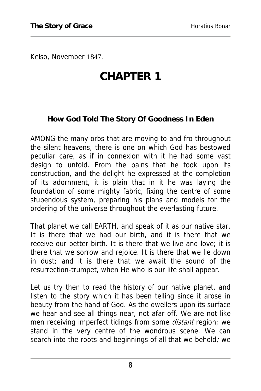Kelso, November 1847.

# **CHAPTER 1**

#### **How God Told The Story Of Goodness In Eden**

AMONG the many orbs that are moving to and fro throughout the silent heavens, there is one on which God has bestowed peculiar care, as if in connexion with it he had some vast design to unfold. From the pains that he took upon its construction, and the delight he expressed at the completion of its adornment, it is plain that in it he was laying the foundation of some mighty fabric, fixing the centre of some stupendous system, preparing his plans and models for the ordering of the universe throughout the everlasting future.

That planet we call EARTH, and speak of it as our native star. It is there that we had our birth, and it is there that we receive our better birth. It is there that we live and love; it is there that we sorrow and rejoice. It is there that we lie down in dust; and it is there that we await the sound of the resurrection-trumpet, when He who is our life shall appear.

Let us try then to read the history of our native planet, and listen to the story which it has been telling since it arose in beauty from the hand of God. As the dwellers upon its surface we hear and see all things near, not afar off. We are not like men receiving imperfect tidings from some *distant* region; we stand in the very centre of the wondrous scene. We can search into the roots and beginnings of all that we behold; we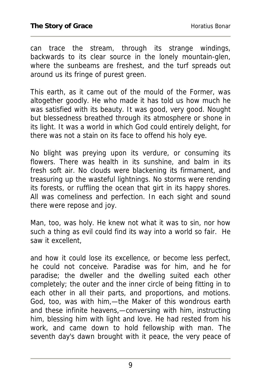can trace the stream, through its strange windings, backwards to its clear source in the lonely mountain-glen, where the sunbeams are freshest, and the turf spreads out around us its fringe of purest green.

This earth, as it came out of the mould of the Former, was altogether goodly. He who made it has told us how much he was satisfied with its beauty. It was good, very good. Nought but blessedness breathed through its atmosphere or shone in its light. It was a world in which God could entirely delight, for there was not a stain on its face to offend his holy eye.

No blight was preying upon its verdure, or consuming its flowers. There was health in its sunshine, and balm in its fresh soft air. No clouds were blackening its firmament, and treasuring up the wasteful lightnings. No storms were rending its forests, or ruffling the ocean that girt in its happy shores. All was comeliness and perfection. In each sight and sound there were repose and joy.

Man, too, was holy. He knew not what it was to sin, nor how such a thing as evil could find its way into a world so fair. He saw it excellent,

and how it could lose its excellence, or become less perfect, he could not conceive. Paradise was for him, and he for paradise; the dweller and the dwelling suited each other completely; the outer and the inner circle of being fitting in to each other in all their parts, and proportions, and motions. God, too, was with him,—the Maker of this wondrous earth and these infinite heavens,—conversing with him, instructing him, blessing him with light and love. He had rested from his work, and came down to hold fellowship with man. The seventh day's dawn brought with it peace, the very peace of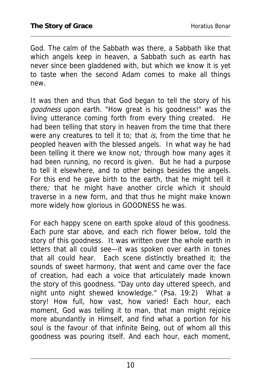God. The calm of the Sabbath was there, a Sabbath like that which angels keep in heaven, a Sabbath such as earth has never since been gladdened with, but which we know it is yet to taste when the second Adam comes to make all things new.

It was then and thus that God began to tell the story of his goodness upon earth. "How great is his goodness!" was the living utterance coming forth from every thing created. He had been telling that story in heaven from the time that there were any creatures to tell it to; that is, from the time that he peopled heaven with the blessed angels. In what way he had been telling it there we know not; through how many ages it had been running, no record is given. But he had a purpose to tell it elsewhere, and to other beings besides the angels. For this end he gave birth to the earth, that he might tell it there; that he might have another circle which it should traverse in a new form, and that thus he might make known more widely how glorious in GOODNESS he was.

For each happy scene on earth spoke aloud of this goodness. Each pure star above, and each rich flower below, told the story of this goodness. It was written over the whole earth in letters that all could see—it was spoken over earth in tones that all could hear. Each scene distinctly breathed it; the sounds of sweet harmony, that went and came over the face of creation, had each a voice that articulately made known the story of this goodness. "Day unto day uttered speech, and night unto night shewed knowledge." (Psa. 19:2) What a story! How full, how vast, how varied! Each hour, each moment, God was telling it to man, that man might rejoice more abundantly in Himself, and find what a portion for his soul is the favour of that infinite Being, out of whom all this goodness was pouring itself. And each hour, each moment,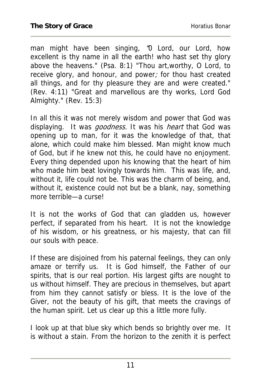man might have been singing, "0 Lord, our Lord, how excellent is thy name in all the earth! who hast set thy glory above the heavens." (Psa. 8:1) "Thou art,worthy, O Lord, to receive glory, and honour, and power; for thou hast created all things, and for thy pleasure they are and were created." (Rev. 4:11) "Great and marvellous are thy works, Lord God Almighty." (Rev. 15:3)

In all this it was not merely wisdom and power that God was displaying. It was *goodness.* It was his *heart* that God was opening up to man, for it was the knowledge of that, that alone, which could make him blessed. Man might know much of God, but if he knew not this, he could have no enjoyment. Every thing depended upon his knowing that the heart of him who made him beat lovingly towards him. This was life, and, without it, life could not be. This was the charm of being, and, without it, existence could not but be a blank, nay, something more terrible—a curse!

It is not the works of God that can gladden us, however perfect, if separated from his heart. It is not the knowledge of his wisdom, or his greatness, or his majesty, that can fill our souls with peace.

If these are disjoined from his paternal feelings, they can only amaze or terrify us. It is God himself, the Father of our spirits, that is our real portion. His largest gifts are nought to us without himself. They are precious in themselves, but apart from him they cannot satisfy or bless. It is the love of the Giver, not the beauty of his gift, that meets the cravings of the human spirit. Let us clear up this a little more fully.

I look up at that blue sky which bends so brightly over me. It is without a stain. From the horizon to the zenith it is perfect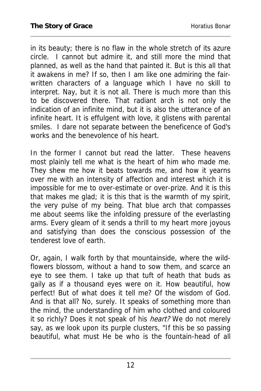in its beauty; there is no flaw in the whole stretch of its azure circle. I cannot but admire it, and still more the mind that planned, as well as the hand that painted it. But is this all that it awakens in me? If so, then I am like one admiring the fairwritten characters of a language which I have no skill to interpret. Nay, but it is not all. There is much more than this to be discovered there. That radiant arch is not only the indication of an infinite mind, but it is also the utterance of an infinite heart. It is effulgent with love, it glistens with parental smiles. I dare not separate between the beneficence of God's works and the benevolence of his heart.

In the former I cannot but read the latter. These heavens most plainly tell me what is the heart of him who made me. They shew me how it beats towards me, and how it yearns over me with an intensity of affection and interest which it is impossible for me to over-estimate or over-prize. And it is this that makes me glad; it is this that is the warmth of my spirit, the very pulse of my being. That blue arch that compasses me about seems like the infolding pressure of the everlasting arms. Every gleam of it sends a thrill to my heart more joyous and satisfying than does the conscious possession of the tenderest love of earth.

Or, again, I walk forth by that mountainside, where the wildflowers blossom, without a hand to sow them, and scarce an eye to see them. I take up that tuft of heath that buds as gaily as if a thousand eyes were on it. How beautiful, how perfect! But of what does it tell me? Of the wisdom of God. And is that all? No, surely. It speaks of something more than the mind, the understanding of him who clothed and coloured it so richly? Does it not speak of his *heart?* We do not merely say, as we look upon its purple clusters, "If this be so passing beautiful, what must He be who is the fountain-head of all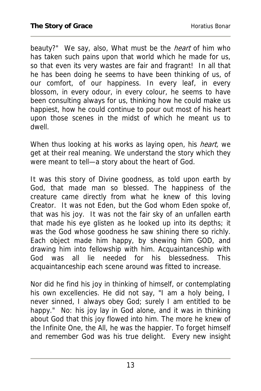beauty?" We say, also, What must be the *heart* of him who has taken such pains upon that world which he made for us, so that even its very wastes are fair and fragrant! In all that he has been doing he seems to have been thinking of us, of our comfort, of our happiness. In every leaf, in every blossom, in every odour, in every colour, he seems to have been consulting always for us, thinking how he could make us happiest, how he could continue to pour out most of his heart upon those scenes in the midst of which he meant us to dwell.

When thus looking at his works as laying open, his *heart*, we get at their real meaning. We understand the story which they were meant to tell—a story about the heart of God.

It was this story of Divine goodness, as told upon earth by God, that made man so blessed. The happiness of the creature came directly from what he knew of this loving Creator. It was not Eden, but the God whom Eden spoke of, that was his joy. It was not the fair sky of an unfallen earth that made his eye glisten as he looked up into its depths; it was the God whose goodness he saw shining there so richly. Each object made him happy, by shewing him GOD, and drawing him into fellowship with him. Acquaintanceship with God was all lie needed for his blessedness. This acquaintanceship each scene around was fitted to increase.

Nor did he find his joy in thinking of himself, or contemplating his own excellencies. He did not say, "I am a holy being, I never sinned, I always obey God; surely I am entitled to be happy." No: his joy lay in God alone, and it was in thinking about God that this joy flowed into him. The more he knew of the Infinite One, the All, he was the happier. To forget himself and remember God was his true delight. Every new insight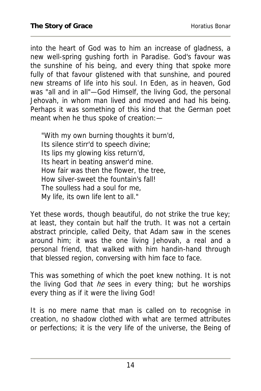into the heart of God was to him an increase of gladness, a new well-spring gushing forth in Paradise. God's favour was the sunshine of his being, and every thing that spoke more fully of that favour glistened with that sunshine, and poured new streams of life into his soul. In Eden, as in heaven, God was "all and in all"—God Himself, the living God, the personal Jehovah, in whom man lived and moved and had his being. Perhaps it was something of this kind that the German poet meant when he thus spoke of creation:—

"With my own burning thoughts it burn'd, Its silence stirr'd to speech divine; Its lips my glowing kiss return'd, Its heart in beating answer'd mine. How fair was then the flower, the tree, How silver-sweet the fountain's fall! The soulless had a soul for me, My life, its own life lent to all."

Yet these words, though beautiful, do not strike the true key; at least, they contain but half the truth. It was not a certain abstract principle, called Deity, that Adam saw in the scenes around him; it was the one living Jehovah, a real and a personal friend, that walked with him handin-hand through that blessed region, conversing with him face to face.

This was something of which the poet knew nothing. It is not the living God that  $he$  sees in every thing; but he worships every thing as if it were the living God!

It is no mere name that man is called on to recognise in creation, no shadow clothed with what are termed attributes or perfections; it is the very life of the universe, the Being of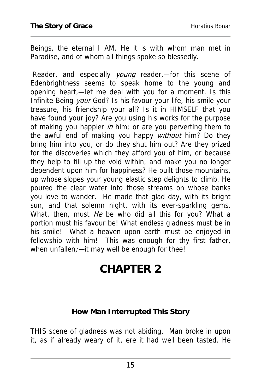Beings, the eternal I AM. He it is with whom man met in Paradise, and of whom all things spoke so blessedly.

Reader, and especially *young* reader,-for this scene of Edenbrightness seems to speak home to the young and opening heart,—let me deal with you for a moment. Is this Infinite Being your God? Is his favour your life, his smile your treasure, his friendship your all? Is it in HIMSELF that you have found your joy? Are you using his works for the purpose of making you happier in him; or are you perverting them to the awful end of making you happy without him? Do they bring him into you, or do they shut him out? Are they prized for the discoveries which they afford you of him, or because they help to fill up the void within, and make you no longer dependent upon him for happiness? He built those mountains, up whose slopes your young elastic step delights to climb. He poured the clear water into those streams on whose banks you love to wander. He made that glad day, with its bright sun, and that solemn night, with its ever-sparkling gems. What, then, must He be who did all this for you? What a portion must his favour be! What endless gladness must be in his smile! What a heaven upon earth must be enjoyed in fellowship with him! This was enough for thy first father, when unfallen; - it may well be enough for thee!

## **CHAPTER 2**

#### **How Man Interrupted This Story**

THIS scene of gladness was not abiding. Man broke in upon it, as if already weary of it, ere it had well been tasted. He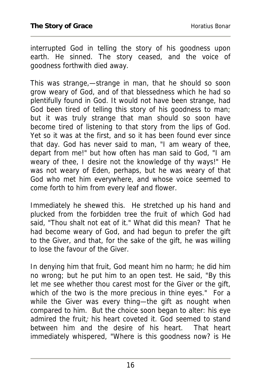interrupted God in telling the story of his goodness upon earth. He sinned. The story ceased, and the voice of goodness forthwith died away.

This was strange,—strange in man, that he should so soon grow weary of God, and of that blessedness which he had so plentifully found in God. It would not have been strange, had God been tired of telling this story of his goodness to man; but it was truly strange that man should so soon have become tired of listening to that story from the lips of God. Yet so it was at the first, and so it has been found ever since that day. God has never said to man, "I am weary of thee, depart from me!" but how often has man said to God, "I am weary of thee, I desire not the knowledge of thy ways!" He was not weary of Eden, perhaps, but he was weary of that God who met him everywhere, and whose voice seemed to come forth to him from every leaf and flower.

Immediately he shewed this. He stretched up his hand and plucked from the forbidden tree the fruit of which God had said, "Thou shalt not eat of it." What did this mean? That he had become weary of God, and had begun to prefer the gift to the Giver, and that, for the sake of the gift, he was willing to lose the favour of the Giver.

In denying him that fruit, God meant him no harm; he did him no wrong; but he put him to an open test. He said, "By this let me see whether thou carest most for the Giver or the gift, which of the two is the more precious in thine eyes." For a while the Giver was every thing—the gift as nought when compared to him. But the choice soon began to alter: his eye admired the fruit; his heart coveted it. God seemed to stand between him and the desire of his heart. That heart immediately whispered, "Where is this goodness now? is He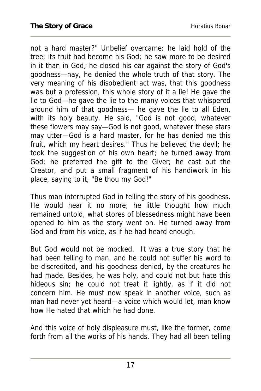not a hard master?" Unbelief overcame: he laid hold of the tree; its fruit had become his God; he saw more to be desired in it than in  $God;$  he closed his ear against the story of God's goodness—nay, he denied the whole truth of that story. The very meaning of his disobedient act was, that this goodness was but a profession, this whole story of it a lie! He gave the lie to God—he gave the lie to the many voices that whispered around him of that goodness— he gave the lie to all Eden, with its holy beauty. He said, "God is not good, whatever these flowers may say—God is not good, whatever these stars may utter—God is a hard master, for he has denied me this fruit, which my heart desires." Thus he believed the devil; he took the suggestion of his own heart; he turned away from God; he preferred the gift to the Giver; he cast out the Creator, and put a small fragment of his handiwork in his place, saying to it, "Be thou my God!"

Thus man interrupted God in telling the story of his goodness. He would hear it no more; he little thought how much remained untold, what stores of blessedness might have been opened to him as the story went on. He turned away from God and from his voice, as if he had heard enough.

But God would not be mocked. It was a true story that he had been telling to man, and he could not suffer his word to be discredited, and his goodness denied, by the creatures he had made. Besides, he was holy, and could not but hate this hideous sin; he could not treat it lightly, as if it did not concern him. He must now speak in another voice, such as man had never yet heard—a voice which would let, man know how He hated that which he had done.

And this voice of holy displeasure must, like the former, come forth from all the works of his hands. They had all been telling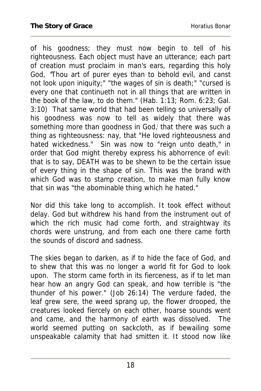of his goodness; they must now begin to tell of his righteousness. Each object must have an utterance; each part of creation must proclaim in man's ears, regarding this holy God, "Thou art of purer eyes than to behold evil, and canst not look upon iniquity;" "the wages of sin is death;" "cursed is every one that continueth not in all things that are written in the book of the law, to do them." (Hab. 1:13; Rom. 6:23; Gal. 3:10) That same world that had been telling so universally of his goodness was now to tell as widely that there was something more than goodness in God; that there was such a thing as righteousness: nay, that "He loved righteousness and hated wickedness." Sin was now to "reign unto death," in order that God might thereby express his abhorrence of evil: that is to say, DEATH was to be shewn to be the certain issue of every thing in the shape of sin. This was the brand with which God was to stamp creation, to make man fully know that sin was "the abominable thing which he hated."

Nor did this take long to accomplish. It took effect without delay. God but withdrew his hand from the instrument out of which the rich music had come forth, and straightway its chords were unstrung, and from each one there came forth the sounds of discord and sadness.

The skies began to darken, as if to hide the face of God, and to shew that this was no longer a world fit for God to look upon. The storm came forth in its fierceness, as if to let man hear how an angry God can speak, and how terrible is "the thunder of his power." (Job 26:14) The verdure faded, the leaf grew sere, the weed sprang up, the flower drooped, the creatures looked fiercely on each other, hoarse sounds went and came, and the harmony of earth was dissolved. The world seemed putting on sackcloth, as if bewailing some unspeakable calamity that had smitten it. It stood now like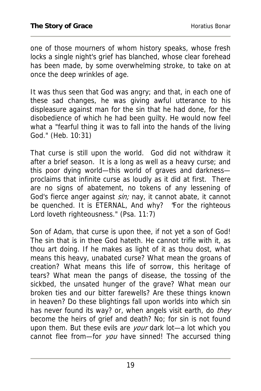one of those mourners of whom history speaks, whose fresh locks a single night's grief has blanched, whose clear forehead has been made, by some overwhelming stroke, to take on at once the deep wrinkles of age.

It was thus seen that God was angry; and that, in each one of these sad changes, he was giving awful utterance to his displeasure against man for the sin that he had done, for the disobedience of which he had been guilty. He would now feel what a "fearful thing it was to fall into the hands of the living God." (Heb. 10:31)

That curse is still upon the world. God did not withdraw it after a brief season. It is a long as well as a heavy curse; and this poor dying world—this world of graves and darkness proclaims that infinite curse as loudly as it did at first. There are no signs of abatement, no tokens of any lessening of God's fierce anger against sin; nay, it cannot abate, it cannot be quenched. It is ETERNAL, And why? "For the righteous Lord loveth righteousness." (Psa. 11:7)

Son of Adam, that curse is upon thee, if not yet a son of God! The sin that is in thee God hateth. He cannot trifle with it, as thou art doing. If he makes as light of it as thou dost, what means this heavy, unabated curse? What mean the groans of creation? What means this life of sorrow, this heritage of tears? What mean the pangs of disease, the tossing of the sickbed, the unsated hunger of the grave? What mean our broken ties and our bitter farewells? Are these things known in heaven? Do these blightings fall upon worlds into which sin has never found its way? or, when angels visit earth, do they become the heirs of grief and death? No; for sin is not found upon them. But these evils are your dark lot-a lot which you cannot flee from—for you have sinned! The accursed thing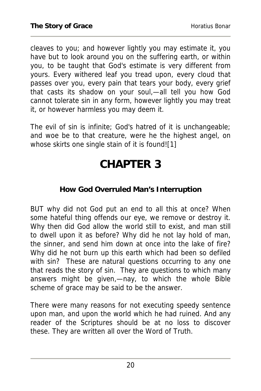cleaves to you; and however lightly you may estimate it, you have but to look around you on the suffering earth, or within you, to be taught that God's estimate is very different from yours. Every withered leaf you tread upon, every cloud that passes over you, every pain that tears your body, every grief that casts its shadow on your soul,—all tell you how God cannot tolerate sin in any form, however lightly you may treat it, or however harmless you may deem it.

The evil of sin is infinite; God's hatred of it is unchangeable; and woe be to that creature, were he the highest angel, on whose skirts one single stain of it is found![1]

# **CHAPTER 3**

#### **How God Overruled Man's Interruption**

BUT why did not God put an end to all this at once? When some hateful thing offends our eye, we remove or destroy it. Why then did God allow the world still to exist, and man still to dwell upon it as before? Why did he not lay hold of man, the sinner, and send him down at once into the lake of fire? Why did he not burn up this earth which had been so defiled with sin? These are natural questions occurring to any one that reads the story of sin. They are questions to which many answers might be given,—nay, to which the whole Bible scheme of grace may be said to be the answer.

There were many reasons for not executing speedy sentence upon man, and upon the world which he had ruined. And any reader of the Scriptures should be at no loss to discover these. They are written all over the Word of Truth.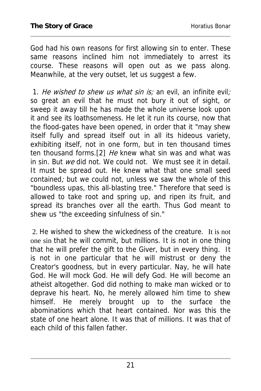God had his own reasons for first allowing sin to enter. These same reasons inclined him not immediately to arrest its course. These reasons will open out as we pass along. Meanwhile, at the very outset, let us suggest a few.

1. He wished to shew us what sin is; an evil, an infinite evil; so great an evil that he must not bury it out of sight, or sweep it away till he has made the whole universe look upon it and see its loathsomeness. He let it run its course, now that the flood-gates have been opened, in order that it "may shew itself fully and spread itself out in all its hideous variety, exhibiting itself, not in one form, but in ten thousand times ten thousand forms.<sup>[2]</sup> He knew what sin was and what was in sin. But we did not. We could not. We must see it in detail. It must be spread out. He knew what that one small seed contained; but we could not, unless we saw the whole of this "boundless upas, this all-blasting tree." Therefore that seed is allowed to take root and spring up, and ripen its fruit, and spread its branches over all the earth. Thus God meant to shew us "the exceeding sinfulness of sin."

 2. He wished to shew the wickedness of the creature. It is not one sin that he will commit, but millions. It is not in one thing that he will prefer the gift to the Giver, but in every thing. It is not in one particular that he will mistrust or deny the Creator's goodness, but in every particular. Nay, he will hate God. He will mock God. He will defy God. He will become an atheist altogether. God did nothing to make man wicked or to deprave his heart. No, he merely allowed him time to shew himself. He merely brought up to the surface the abominations which that heart contained. Nor was this the state of one heart alone. It was that of millions. It was that of each child of this fallen father.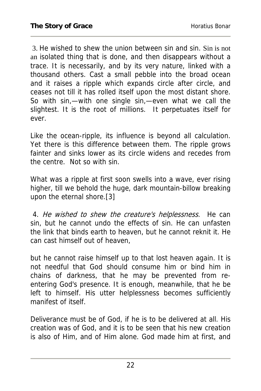3. He wished to shew the union between sin and sin. Sin is not an isolated thing that is done, and then disappears without a trace. It is necessarily, and by its very nature, linked with a thousand others. Cast a small pebble into the broad ocean and it raises a ripple which expands circle after circle, and ceases not till it has rolled itself upon the most distant shore. So with sin,—with one single sin,—even what we call the slightest. It is the root of millions. It perpetuates itself for ever.

Like the ocean-ripple, its influence is beyond all calculation. Yet there is this difference between them. The ripple grows fainter and sinks lower as its circle widens and recedes from the centre. Not so with sin.

What was a ripple at first soon swells into a wave, ever rising higher, till we behold the huge, dark mountain-billow breaking upon the eternal shore.[3]

 4. He wished to shew the creature's helplessness. He can sin, but he cannot undo the effects of sin. He can unfasten the link that binds earth to heaven, but he cannot reknit it. He can cast himself out of heaven,

but he cannot raise himself up to that lost heaven again. It is not needful that God should consume him or bind him in chains of darkness, that he may be prevented from reentering God's presence. It is enough, meanwhile, that he be left to himself. His utter helplessness becomes sufficiently manifest of itself.

Deliverance must be of God, if he is to be delivered at all. His creation was of God, and it is to be seen that his new creation is also of Him, and of Him alone. God made him at first, and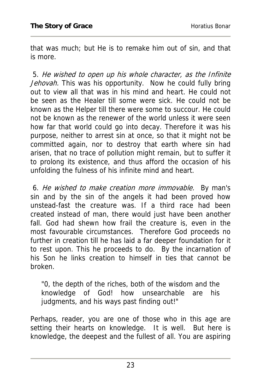that was much; but He is to remake him out of sin, and that is more.

 5. He wished to open up his whole character, as the Infinite Jehovah. This was his opportunity. Now he could fully bring out to view all that was in his mind and heart. He could not be seen as the Healer till some were sick. He could not be known as the Helper till there were some to succour. He could not be known as the renewer of the world unless it were seen how far that world could go into decay. Therefore it was his purpose, neither to arrest sin at once, so that it might not be committed again, nor to destroy that earth where sin had arisen, that no trace of pollution might remain, but to suffer it to prolong its existence, and thus afford the occasion of his unfolding the fulness of his infinite mind and heart.

 6. He wished to make creation more immovable. By man's sin and by the sin of the angels it had been proved how unstead-fast the creature was. If a third race had been created instead of man, there would just have been another fall. God had shewn how frail the creature is, even in the most favourable circumstances. Therefore God proceeds no further in creation till he has laid a far deeper foundation for it to rest upon. This he proceeds to do. By the incarnation of his Son he links creation to himself in ties that cannot be broken.

"0, the depth of the riches, both of the wisdom and the knowledge of God! how unsearchable are his judgments, and his ways past finding out!"

Perhaps, reader, you are one of those who in this age are setting their hearts on knowledge. It is well. But here is knowledge, the deepest and the fullest of all. You are aspiring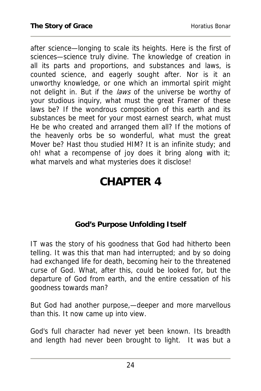after science—longing to scale its heights. Here is the first of sciences—science truly divine. The knowledge of creation in all its parts and proportions, and substances and laws, is counted science, and eagerly sought after. Nor is it an unworthy knowledge, or one which an immortal spirit might not delight in. But if the laws of the universe be worthy of your studious inquiry, what must the great Framer of these laws be? If the wondrous composition of this earth and its substances be meet for your most earnest search, what must He be who created and arranged them all? If the motions of the heavenly orbs be so wonderful, what must the great Mover be? Hast thou studied HIM? It is an infinite study; and oh! what a recompense of joy does it bring along with it; what marvels and what mysteries does it disclose!

# **CHAPTER 4**

#### **God's Purpose Unfolding Itself**

IT was the story of his goodness that God had hitherto been telling. It was this that man had interrupted; and by so doing had exchanged life for death, becoming heir to the threatened curse of God. What, after this, could be looked for, but the departure of God from earth, and the entire cessation of his goodness towards man?

But God had another purpose,—deeper and more marvellous than this. It now came up into view.

God's full character had never yet been known. Its breadth and length had never been brought to light. It was but a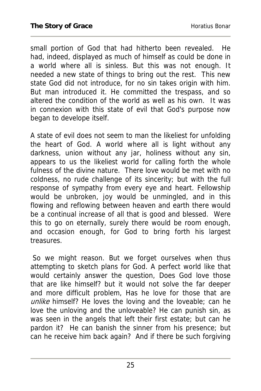small portion of God that had hitherto been revealed. He had, indeed, displayed as much of himself as could be done in a world where all is sinless. But this was not enough. It needed a new state of things to bring out the rest. This new state God did not introduce, for no sin takes origin with him. But man introduced it. He committed the trespass, and so altered the condition of the world as well as his own. It was in connexion with this state of evil that God's purpose now began to develope itself.

A state of evil does not seem to man the likeliest for unfolding the heart of God. A world where all is light without any darkness, union without any jar, holiness without any sin, appears to us the likeliest world for calling forth the whole fulness of the divine nature. There love would be met with no coldness, no rude challenge of its sincerity; but with the full response of sympathy from every eye and heart. Fellowship would be unbroken, joy would be unmingled, and in this flowing and reflowing between heaven and earth there would be a continual increase of all that is good and blessed. Were this to go on eternally, surely there would be room enough, and occasion enough, for God to bring forth his largest treasures.

 So we might reason. But we forget ourselves when thus attempting to sketch plans for God. A perfect world like that would certainly answer the question, Does God love those that are like himself? but it would not solve the far deeper and more difficult problem, Has he love for those that are unlike himself? He loves the loving and the loveable; can he love the unloving and the unloveable? He can punish sin, as was seen in the angels that left their first estate; but can he pardon it? He can banish the sinner from his presence; but can he receive him back again? And if there be such forgiving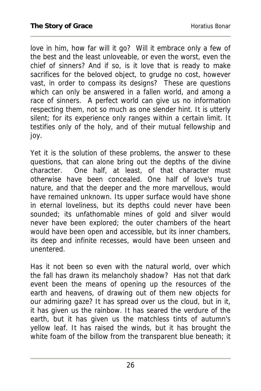love in him, how far will it go? Will it embrace only a few of the best and the least unloveable, or even the worst, even the chief of sinners? And if so, is it love that is ready to make sacrifices for the beloved object, to grudge no cost, however vast, in order to compass its designs? These are questions which can only be answered in a fallen world, and among a race of sinners. A perfect world can give us no information respecting them, not so much as one slender hint. It is utterly silent; for its experience only ranges within a certain limit. It testifies only of the holy, and of their mutual fellowship and joy.

Yet it is the solution of these problems, the answer to these questions, that can alone bring out the depths of the divine character. One half, at least, of that character must otherwise have been concealed. One half of love's true nature, and that the deeper and the more marvellous, would have remained unknown. Its upper surface would have shone in eternal loveliness, but its depths could never have been sounded; its unfathomable mines of gold and silver would never have been explored; the outer chambers of the heart would have been open and accessible, but its inner chambers, its deep and infinite recesses, would have been unseen and unentered.

Has it not been so even with the natural world, over which the fall has drawn its melancholy shadow? Has not that dark event been the means of opening up the resources of the earth and heavens, of drawing out of them new objects for our admiring gaze? It has spread over us the cloud, but in it, it has given us the rainbow. It has seared the verdure of the earth, but it has given us the matchless tints of autumn's yellow leaf. It has raised the winds, but it has brought the white foam of the billow from the transparent blue beneath; it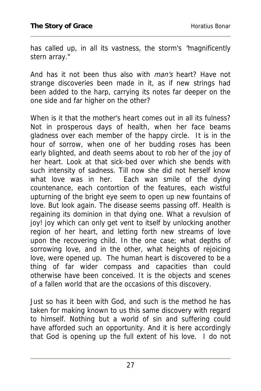has called up, in all its vastness, the storm's "magnificently stern array."

And has it not been thus also with *man's* heart? Have not strange discoveries been made in it, as if new strings had been added to the harp, carrying its notes far deeper on the one side and far higher on the other?

When is it that the mother's heart comes out in all its fulness? Not in prosperous days of health, when her face beams gladness over each member of the happy circle. It is in the hour of sorrow, when one of her budding roses has been early blighted, and death seems about to rob her of the joy of her heart. Look at that sick-bed over which she bends with such intensity of sadness. Till now she did not herself know what love was in her. Each wan smile of the dying countenance, each contortion of the features, each wistful upturning of the bright eye seem to open up new fountains of love. But look again. The disease seems passing off. Health is regaining its dominion in that dying one. What a revulsion of joy! joy which can only get vent to itself by unlocking another region of her heart, and letting forth new streams of love upon the recovering child. In the one case; what depths of sorrowing love, and in the other, what heights of rejoicing love, were opened up. The human heart is discovered to be a thing of far wider compass and capacities than could otherwise have been conceived. It is the objects and scenes of a fallen world that are the occasions of this discovery.

Just so has it been with God, and such is the method he has taken for making known to us this same discovery with regard to himself. Nothing but a world of sin and suffering could have afforded such an opportunity. And it is here accordingly that God is opening up the full extent of his love. I do not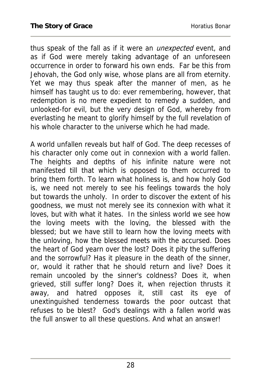thus speak of the fall as if it were an *unexpected* event, and as if God were merely taking advantage of an unforeseen occurrence in order to forward his own ends. Far be this from Jehovah, the God only wise, whose plans are all from eternity. Yet we may thus speak after the manner of men, as he himself has taught us to do: ever remembering, however, that redemption is no mere expedient to remedy a sudden, and unlooked-for evil, but the very design of God, whereby from everlasting he meant to glorify himself by the full revelation of his whole character to the universe which he had made.

A world unfallen reveals but half of God. The deep recesses of his character only come out in connexion with a world fallen. The heights and depths of his infinite nature were not manifested till that which is opposed to them occurred to bring them forth. To learn what holiness is, and how holy God is, we need not merely to see his feelings towards the holy but towards the unholy. In order to discover the extent of his goodness, we must not merely see its connexion with what it loves, but with what it hates. In the sinless world we see how the loving meets with the loving, the blessed with the blessed; but we have still to learn how the loving meets with the unloving, how the blessed meets with the accursed. Does the heart of God yearn over the lost? Does it pity the suffering and the sorrowful? Has it pleasure in the death of the sinner, or, would it rather that he should return and live? Does it remain uncooled by the sinner's coldness? Does it, when grieved, still suffer long? Does it, when rejection thrusts it away, and hatred opposes it, still cast its eye of unextinguished tenderness towards the poor outcast that refuses to be blest? God's dealings with a fallen world was the full answer to all these questions. And what an answer!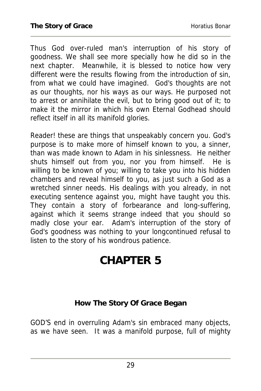Thus God over-ruled man's interruption of his story of goodness. We shall see more specially how he did so in the next chapter. Meanwhile, it is blessed to notice how very different were the results flowing from the introduction of sin, from what we could have imagined. God's thoughts are not as our thoughts, nor his ways as our ways. He purposed not to arrest or annihilate the evil, but to bring good out of it; to make it the mirror in which his own Eternal Godhead should reflect itself in all its manifold glories.

Reader! these are things that unspeakably concern you. God's purpose is to make more of himself known to you, a sinner, than was made known to Adam in his sinlessness. He neither shuts himself out from you, nor you from himself. He is willing to be known of you; willing to take you into his hidden chambers and reveal himself to you, as just such a God as a wretched sinner needs. His dealings with you already, in not executing sentence against you, might have taught you this. They contain a story of forbearance and long-suffering, against which it seems strange indeed that you should so madly close your ear. Adam's interruption of the story of God's goodness was nothing to your longcontinued refusal to listen to the story of his wondrous patience.

## **CHAPTER 5**

#### **How The Story Of Grace Began**

GOD'S end in overruling Adam's sin embraced many objects, as we have seen. It was a manifold purpose, full of mighty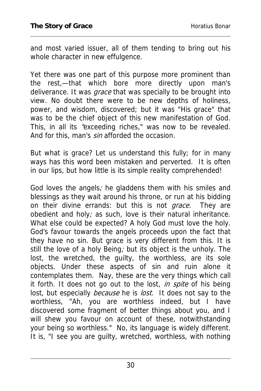and most varied issuer, all of them tending to bring out his whole character in new effulgence.

Yet there was one part of this purpose more prominent than the rest,—that which bore more directly upon man's deliverance. It was *grace* that was specially to be brought into view. No doubt there were to be new depths of holiness, power, and wisdom, discovered; but it was "His grace" that was to be the chief object of this new manifestation of God. This, in all its "exceeding riches," was now to be revealed. And for this, man's sin afforded the occasion.

But what is grace? Let us understand this fully; for in many ways has this word been mistaken and perverted. It is often in our lips, but how little is its simple reality comprehended!

God loves the angels; he gladdens them with his smiles and blessings as they wait around his throne, or run at his bidding on their divine errands: but this is not *grace*. They are obedient and holy; as such, love is their natural inheritance. What else could be expected? A holy God must love the holy. God's favour towards the angels proceeds upon the fact that they have no sin. But grace is very different from this. It is still the love of a holy Being; but its object is the unholy. The lost, the wretched, the guilty, the worthless, are its sole objects. Under these aspects of sin and ruin alone it contemplates them. Nay, these are the very things which call it forth. It does not go out to the lost, in spite of his being lost, but especially *because* he is lost. It does not say to the worthless, "Ah, you are worthless indeed, but I have discovered some fragment of better things about you, and I will shew you favour on account of these, notwithstanding your being so worthless." No, its language is widely different. It is, "I see you are guilty, wretched, worthless, with nothing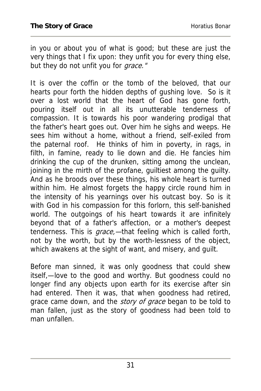in you or about you of what is good; but these are just the very things that I fix upon: they unfit you for every thing else, but they do not unfit you for *grace."* 

It is over the coffin or the tomb of the beloved, that our hearts pour forth the hidden depths of gushing love. So is it over a lost world that the heart of God has gone forth, pouring itself out in all its unutterable tenderness of compassion. It is towards his poor wandering prodigal that the father's heart goes out. Over him he sighs and weeps. He sees him without a home, without a friend, self-exiled from the paternal roof. He thinks of him in poverty, in rags, in filth, in famine, ready to lie down and die. He fancies him drinking the cup of the drunken, sitting among the unclean, joining in the mirth of the profane, guiltiest among the guilty. And as he broods over these things, his whole heart is turned within him. He almost forgets the happy circle round him in the intensity of his yearnings over his outcast boy. So is it with God in his compassion for this forlorn, this self-banished world. The outgoings of his heart towards it are infinitely beyond that of a father's affection, or a mother's deepest tenderness. This is grace,-that feeling which is called forth, not by the worth, but by the worth-lessness of the object, which awakens at the sight of want, and misery, and guilt.

Before man sinned, it was only goodness that could shew itself,—love to the good and worthy. But goodness could no longer find any objects upon earth for its exercise after sin had entered. Then it was, that when goodness had retired, grace came down, and the *story of grace* began to be told to man fallen, just as the story of goodness had been told to man unfallen.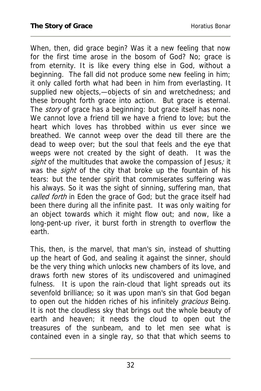When, then, did grace begin? Was it a new feeling that now for the first time arose in the bosom of God? No; grace is from eternity. It is like every thing else in God, without a beginning. The fall did not produce some new feeling in him; it only called forth what had been in him from everlasting. It supplied new objects,—objects of sin and wretchedness; and these brought forth grace into action. But grace is eternal. The *story* of grace has a beginning: but grace itself has none. We cannot love a friend till we have a friend to love; but the heart which loves has throbbed within us ever since we breathed. We cannot weep over the dead till there are the dead to weep over; but the soul that feels and the eye that weeps were not created by the sight of death. It was the sight of the multitudes that awoke the compassion of Jesus; it was the *sight* of the city that broke up the fountain of his tears: but the tender spirit that commiserates suffering was his always. So it was the sight of sinning, suffering man, that called forth in Eden the grace of God; but the grace itself had been there during all the infinite past. It was only waiting for an object towards which it might flow out; and now, like a long-pent-up river, it burst forth in strength to overflow the earth.

This, then, is the marvel, that man's sin, instead of shutting up the heart of God, and sealing it against the sinner, should be the very thing which unlocks new chambers of its love, and draws forth new stores of its undiscovered and unimagined fulness. It is upon the rain-cloud that light spreads out its sevenfold brilliance; so it was upon man's sin that God began to open out the hidden riches of his infinitely *gracious* Being. It is not the cloudless sky that brings out the whole beauty of earth and heaven; it needs the cloud to open out the treasures of the sunbeam, and to let men see what is contained even in a single ray, so that that which seems to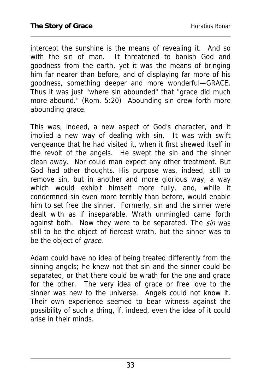intercept the sunshine is the means of revealing it. And so with the sin of man. It threatened to banish God and goodness from the earth, yet it was the means of bringing him far nearer than before, and of displaying far more of his goodness, something deeper and more wonderful—GRACE. Thus it was just "where sin abounded" that "grace did much more abound." (Rom. 5:20) Abounding sin drew forth more abounding grace.

This was, indeed, a new aspect of God's character, and it implied a new way of dealing with sin. It was with swift vengeance that he had visited it, when it first shewed itself in the revolt of the angels. He swept the sin and the sinner clean away. Nor could man expect any other treatment. But God had other thoughts. His purpose was, indeed, still to remove sin, but in another and more glorious way, a way which would exhibit himself more fully, and, while it condemned sin even more terribly than before, would enable him to set free the sinner. Formerly, sin and the sinner were dealt with as if inseparable. Wrath unmingled came forth against both. Now they were to be separated. The sin was still to be the object of fiercest wrath, but the sinner was to be the object of *grace*.

Adam could have no idea of being treated differently from the sinning angels; he knew not that sin and the sinner could be separated, or that there could be wrath for the one and grace for the other. The very idea of grace or free love to the sinner was new to the universe. Angels could not know it. Their own experience seemed to bear witness against the possibility of such a thing, if, indeed, even the idea of it could arise in their minds.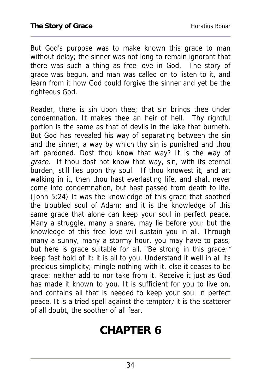But God's purpose was to make known this grace to man without delay; the sinner was not long to remain ignorant that there was such a thing as free love in God. The story of grace was begun, and man was called on to listen to it, and learn from it how God could forgive the sinner and yet be the righteous God.

Reader, there is sin upon thee; that sin brings thee under condemnation. It makes thee an heir of hell. Thy rightful portion is the same as that of devils in the lake that burneth. But God has revealed his way of separating between the sin and the sinner, a way by which thy sin is punished and thou art pardoned. Dost thou know that way? It is the way of grace. If thou dost not know that way, sin, with its eternal burden, still lies upon thy soul. If thou knowest it, and art walking in it, then thou hast everlasting life, and shalt never come into condemnation, but hast passed from death to life. (John 5:24) It was the knowledge of this grace that soothed the troubled soul of Adam; and it is the knowledge of this same grace that alone can keep your soul in perfect peace. Many a struggle, many a snare, may lie before you; but the knowledge of this free love will sustain you in all. Through many a sunny, many a stormy hour, you may have to pass; but here is grace suitable for all. "Be strong in this grace;" keep fast hold of it: it is all to you. Understand it well in all its precious simplicity; mingle nothing with it, else it ceases to be grace: neither add to nor take from it. Receive it just as God has made it known to you. It is sufficient for you to live on, and contains all that is needed to keep your soul in perfect peace. It is a tried spell against the tempter; it is the scatterer of all doubt, the soother of all fear.

## **CHAPTER 6**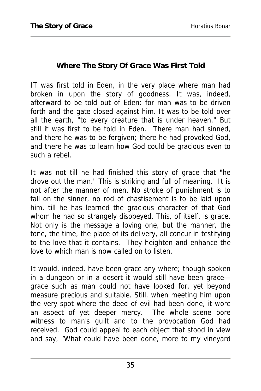#### **Where The Story Of Grace Was First Told**

IT was first told in Eden, in the very place where man had broken in upon the story of goodness. It was, indeed, afterward to be told out of Eden: for man was to be driven forth and the gate closed against him. It was to be told over all the earth, "to every creature that is under heaven." But still it was first to be told in Eden. There man had sinned, and there he was to be forgiven; there he had provoked God, and there he was to learn how God could be gracious even to such a rebel.

It was not till he had finished this story of grace that "he drove out the man." This is striking and full of meaning. It is not after the manner of men. No stroke of punishment is to fall on the sinner, no rod of chastisement is to be laid upon him, till he has learned the gracious character of that God whom he had so strangely disobeyed. This, of itself, is grace. Not only is the message a loving one, but the manner, the tone, the time, the place of its delivery, all concur in testifying to the love that it contains. They heighten and enhance the love to which man is now called on to listen.

It would, indeed, have been grace any where; though spoken in a dungeon or in a desert it would still have been grace grace such as man could not have looked for, yet beyond measure precious and suitable. Still, when meeting him upon the very spot where the deed of evil had been done, it wore an aspect of yet deeper mercy. The whole scene bore witness to man's guilt and to the provocation God had received. God could appeal to each object that stood in view and say, "What could have been done, more to my vineyard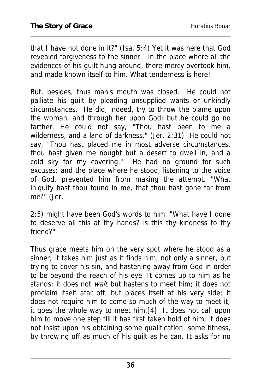that I have not done in it?" (Isa. 5:4) Yet it was here that God revealed forgiveness to the sinner. In the place where all the evidences of his guilt hung around, there mercy overtook him, and made known itself to him. What tenderness is here!

But, besides, thus man's mouth was closed. He could not palliate his guilt by pleading unsupplied wants or unkindly circumstances. He did, indeed, try to throw the blame upon the woman, and through her upon God; but he could go no farther. He could not say, "Thou hast been to me a wilderness, and a land of darkness." (Jer. 2:31) He could not say, "Thou hast placed me in most adverse circumstances, thou hast given me nought but a desert to dwell in, and a cold sky for my covering." He had no ground for such excuses; and the place where he stood, listening to the voice of God, prevented him from making the attempt. "What iniquity hast thou found in me, that thou hast gone far from me?" (Jer.

2:5) might have been God's words to him. "What have I done to deserve all this at thy hands? is this thy kindness to thy friend?"

Thus grace meets him on the very spot where he stood as a sinner; it takes him just as it finds him, not only a sinner, but trying to cover his sin, and hastening away from God in order to be beyond the reach of his eye. It comes up to him as he stands; it does not wait but hastens to meet him; it does not proclaim itself afar off, but places itself at his very side; it does not require him to come so much of the way to meet it; it goes the whole way to meet him.[4] It does not call upon him to move one step till it has first taken hold of him; it does not insist upon his obtaining some qualification, some fitness, by throwing off as much of his guilt as he can. It asks for no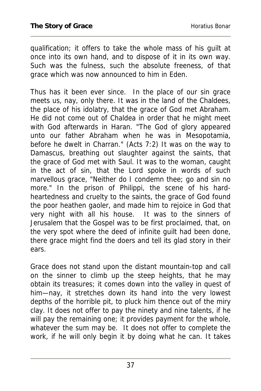qualification; it offers to take the whole mass of his guilt at once into its own hand, and to dispose of it in its own way. Such was the fulness, such the absolute freeness, of that grace which was now announced to him in Eden.

Thus has it been ever since. In the place of our sin grace meets us, nay, only there. It was in the land of the Chaldees, the place of his idolatry, that the grace of God met Abraham. He did not come out of Chaldea in order that he might meet with God afterwards in Haran. "The God of glory appeared unto our father Abraham when he was in Mesopotamia, before he dwelt in Charran." (Acts 7:2) It was on the way to Damascus, breathing out slaughter against the saints, that the grace of God met with Saul. It was to the woman, caught in the act of sin, that the Lord spoke in words of such marvellous grace, "Neither do I condemn thee; go and sin no more." In the prison of Philippi, the scene of his hardheartedness and cruelty to the saints, the grace of God found the poor heathen gaoler, and made him to rejoice in God that very night with all his house. It was to the sinners of Jerusalem that the Gospel was to be first proclaimed, that, on the very spot where the deed of infinite guilt had been done, there grace might find the doers and tell its glad story in their ears.

Grace does not stand upon the distant mountain-top and call on the sinner to climb up the steep heights, that he may obtain its treasures; it comes down into the valley in quest of him—nay, it stretches down its hand into the very lowest depths of the horrible pit, to pluck him thence out of the miry clay. It does not offer to pay the ninety and nine talents, if he will pay the remaining one; it provides payment for the whole, whatever the sum may be. It does not offer to complete the work, if he will only begin it by doing what he can. It takes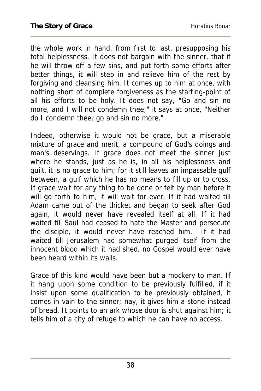the whole work in hand, from first to last, presupposing his total helplessness. It does not bargain with the sinner, that if he will throw off a few sins, and put forth some efforts after better things, it will step in and relieve him of the rest by forgiving and cleansing him. It comes up to him at once, with nothing short of complete forgiveness as the starting-point of all his efforts to be holy. It does not say, "Go and sin no more, and I will not condemn thee;" it says at once, "Neither do I condemn thee; go and sin no more."

Indeed, otherwise it would not be grace, but a miserable mixture of grace and merit, a compound of God's doings and man's deservings. If grace does not meet the sinner just where he stands, just as he is, in all his helplessness and guilt, it is no grace to him; for it still leaves an impassable gulf between, a gulf which he has no means to fill up or to cross. If grace wait for any thing to be done or felt by man before it will go forth to him, it will wait for ever. If it had waited till Adam came out of the thicket and began to seek after God again, it would never have revealed itself at all. If it had waited till Saul had ceased to hate the Master and persecute the disciple, it would never have reached him. If it had waited till Jerusalem had somewhat purged itself from the innocent blood which it had shed, no Gospel would ever have been heard within its walls.

Grace of this kind would have been but a mockery to man. If it hang upon some condition to be previously fulfilled, if it insist upon some qualification to be previously obtained, it comes in vain to the sinner; nay, it gives him a stone instead of bread. It points to an ark whose door is shut against him; it tells him of a city of refuge to which he can have no access.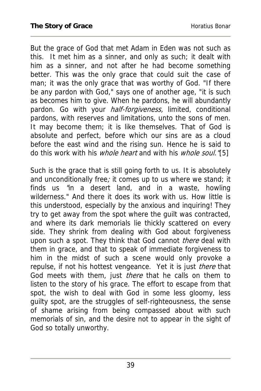But the grace of God that met Adam in Eden was not such as this. It met him as a sinner, and only as such; it dealt with him as a sinner, and not after he had become something better. This was the only grace that could suit the case of man; it was the only grace that was worthy of God. "If there be any pardon with God," says one of another age, "it is such as becomes him to give. When he pardons, he will abundantly pardon. Go with your *half-forgiveness*, limited, conditional pardons, with reserves and limitations, unto the sons of men. It may become them; it is like themselves. That of God is absolute and perfect, before which our sins are as a cloud before the east wind and the rising sun. Hence he is said to do this work with his *whole heart* and with his *whole soul.* '15]

Such is the grace that is still going forth to us. It is absolutely and unconditionally free; it comes up to us where we stand; it finds us "in a desert land, and in a waste, howling wilderness." And there it does its work with us. How little is this understood, especially by the anxious and inquiring! They try to get away from the spot where the guilt was contracted, and where its dark memorials lie thickly scattered on every side. They shrink from dealing with God about forgiveness upon such a spot. They think that God cannot there deal with them in grace, and that to speak of immediate forgiveness to him in the midst of such a scene would only provoke a repulse, if not his hottest vengeance. Yet it is just *there* that God meets with them, just *there* that he calls on them to listen to the story of his grace. The effort to escape from that spot, the wish to deal with God in some less gloomy, less guilty spot, are the struggles of self-righteousness, the sense of shame arising from being compassed about with such memorials of sin, and the desire not to appear in the sight of God so totally unworthy.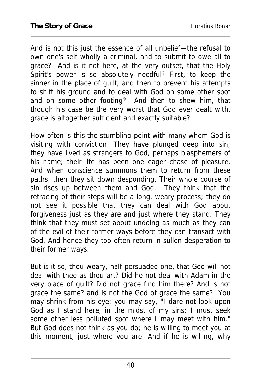And is not this just the essence of all unbelief—the refusal to own one's self wholly a criminal, and to submit to owe all to grace? And is it not here, at the very outset, that the Holy Spirit's power is so absolutely needful? First, to keep the sinner in the place of guilt, and then to prevent his attempts to shift his ground and to deal with God on some other spot and on some other footing? And then to shew him, that though his case be the very worst that God ever dealt with, grace is altogether sufficient and exactly suitable?

How often is this the stumbling-point with many whom God is visiting with conviction! They have plunged deep into sin; they have lived as strangers to God, perhaps blasphemers of his name; their life has been one eager chase of pleasure. And when conscience summons them to return from these paths, then they sit down desponding. Their whole course of sin rises up between them and God. They think that the retracing of their steps will be a long, weary process; they do not see it possible that they can deal with God about forgiveness just as they are and just where they stand. They think that they must set about undoing as much as they can of the evil of their former ways before they can transact with God. And hence they too often return in sullen desperation to their former ways.

But is it so, thou weary, half-persuaded one, that God will not deal with thee as thou art? Did he not deal with Adam in the very place of guilt? Did not grace find him there? And is not grace the same? and is not the God of grace the same? You may shrink from his eye; you may say, "I dare not look upon God as I stand here, in the midst of my sins; I must seek some other less polluted spot where I may meet with him." But God does not think as you do; he is willing to meet you at this moment, just where you are. And if he is willing, why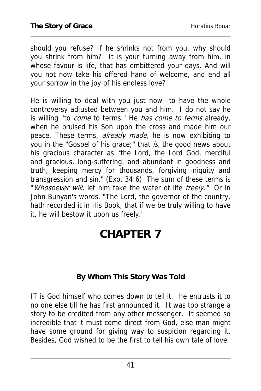should you refuse? If he shrinks not from you, why should you shrink from him? It is your turning away from him, in whose favour is life, that has embittered your days. And will you not now take his offered hand of welcome, and end all your sorrow in the joy of his endless love?

He is willing to deal with you just now—to have the whole controversy adjusted between you and him. I do not say he is willing "to *come* to terms." He has come to terms already, when he bruised his Son upon the cross and made him our peace. These terms, already made, he is now exhibiting to you in the "Gospel of his grace;" that is, the good news about his gracious character as "the Lord, the Lord God, merciful and gracious, long-suffering, and abundant in goodness and truth, keeping mercy for thousands, forgiving iniquity and transgression and sin." (Exo. 34:6) The sum of these terms is "Whosoever will, let him take the water of life freely." Or in John Bunyan's words, "The Lord, the governor of the country, hath recorded it in His Book, that if we be truly willing to have it, he will bestow it upon us freely."

## **CHAPTER 7**

### **By Whom This Story Was Told**

IT is God himself who comes down to tell it. He entrusts it to no one else till he has first announced it. It was too strange a story to be credited from any other messenger. It seemed so incredible that it must come direct from God, else man might have some ground for giving way to suspicion regarding it. Besides, God wished to be the first to tell his own tale of love.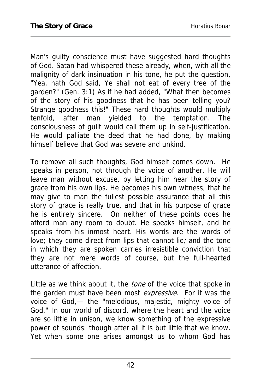Man's guilty conscience must have suggested hard thoughts of God. Satan had whispered these already, when, with all the malignity of dark insinuation in his tone, he put the question, "Yea, hath God said, Ye shall not eat of every tree of the garden?" (Gen. 3:1) As if he had added, "What then becomes of the story of his goodness that he has been telling you? Strange goodness this!" These hard thoughts would multiply tenfold, after man yielded to the temptation. The consciousness of guilt would call them up in self-justification. He would palliate the deed that he had done, by making himself believe that God was severe and unkind.

To remove all such thoughts, God himself comes down. He speaks in person, not through the voice of another. He will leave man without excuse, by letting him hear the story of grace from his own lips. He becomes his own witness, that he may give to man the fullest possible assurance that all this story of grace is really true, and that in his purpose of grace he is entirely sincere. On neither of these points does he afford man any room to doubt. He speaks himself, and he speaks from his inmost heart. His words are the words of love; they come direct from lips that cannot lie; and the tone in which they are spoken carries irresistible conviction that they are not mere words of course, but the full-hearted utterance of affection.

Little as we think about it, the *tone* of the voice that spoke in the garden must have been most expressive. For it was the voice of God,— the "melodious, majestic, mighty voice of God." In our world of discord, where the heart and the voice are so little in unison, we know something of the expressive power of sounds: though after all it is but little that we know. Yet when some one arises amongst us to whom God has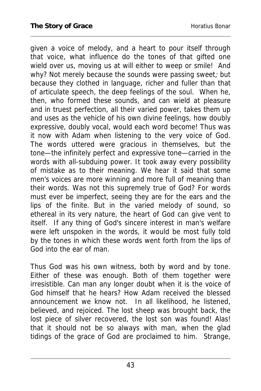given a voice of melody, and a heart to pour itself through that voice, what influence do the tones of that gifted one wield over us, moving us at will either to weep or smile! And why? Not merely because the sounds were passing sweet; but because they clothed in language, richer and fuller than that of articulate speech, the deep feelings of the soul. When he, then, who formed these sounds, and can wield at pleasure and in truest perfection, all their varied power, takes them up and uses as the vehicle of his own divine feelings, how doubly expressive, doubly vocal, would each word become! Thus was it now with Adam when listening to the very voice of God. The words uttered were gracious in themselves, but the tone—the infinitely perfect and expressive tone—carried in the words with all-subduing power. It took away every possibility of mistake as to their meaning. We hear it said that some men's voices are more winning and more full of meaning than their words. Was not this supremely true of God? For words must ever be imperfect, seeing they are for the ears and the lips of the finite. But in the varied melody of sound, so ethereal in its very nature, the heart of God can give vent to itself. If any thing of God's sincere interest in man's welfare were left unspoken in the words, it would be most fully told by the tones in which these words went forth from the lips of God into the ear of man.

Thus God was his own witness, both by word and by tone. Either of these was enough. Both of them together were irresistible. Can man any longer doubt when it is the voice of God himself that he hears? How Adam received the blessed announcement we know not. In all likelihood, he listened, believed, and rejoiced. The lost sheep was brought back, the lost piece of silver recovered, the lost son was found! Alas! that it should not be so always with man, when the glad tidings of the grace of God are proclaimed to him. Strange,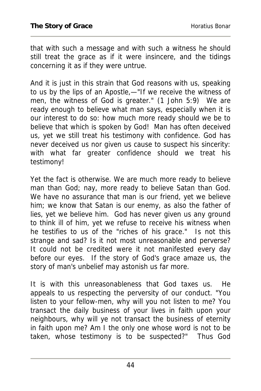that with such a message and with such a witness he should still treat the grace as if it were insincere, and the tidings concerning it as if they were untrue.

And it is just in this strain that God reasons with us, speaking to us by the lips of an Apostle,—"If we receive the witness of men, the witness of God is greater." (1 John 5:9) We are ready enough to believe what man says, especially when it is our interest to do so: how much more ready should we be to believe that which is spoken by God! Man has often deceived us, yet we still treat his testimony with confidence. God has never deceived us nor given us cause to suspect his sincerity: with what far greater confidence should we treat his testimony!

Yet the fact is otherwise. We are much more ready to believe man than God; nay, more ready to believe Satan than God. We have no assurance that man is our friend, yet we believe him; we know that Satan is our enemy, as also the father of lies, yet we believe him. God has never given us any ground to think ill of him, yet we refuse to receive his witness when he testifies to us of the "riches of his grace." Is not this strange and sad? Is it not most unreasonable and perverse? It could not be credited were it not manifested every day before our eyes. If the story of God's grace amaze us, the story of man's unbelief may astonish us far more.

It is with this unreasonableness that God taxes us. He appeals to us respecting the perversity of our conduct. "You listen to your fellow-men, why will you not listen to me? You transact the daily business of your lives in faith upon your neighbours, why will ye not transact the business of eternity in faith upon me? Am I the only one whose word is not to be taken, whose testimony is to be suspected?" Thus God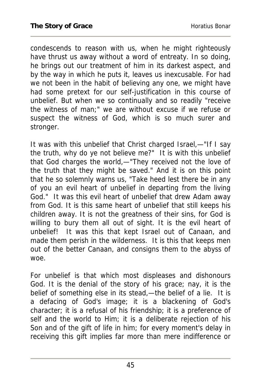condescends to reason with us, when he might righteously have thrust us away without a word of entreaty. In so doing, he brings out our treatment of him in its darkest aspect, and by the way in which he puts it, leaves us inexcusable. For had we not been in the habit of believing any one, we might have had some pretext for our self-justification in this course of unbelief. But when we so continually and so readily "receive the witness of man;" we are without excuse if we refuse or suspect the witness of God, which is so much surer and stronger.

It was with this unbelief that Christ charged Israel,—"If I say the truth, why do ye not believe me?" It is with this unbelief that God charges the world,—"They received not the love of the truth that they might be saved." And it is on this point that he so solemnly warns us, "Take heed lest there be in any of you an evil heart of unbelief in departing from the living God." It was this evil heart of unbelief that drew Adam away from God. It is this same heart of unbelief that still keeps his children away. It is not the greatness of their sins, for God is willing to bury them all out of sight. It is the evil heart of unbelief! It was this that kept Israel out of Canaan, and made them perish in the wilderness. It is this that keeps men out of the better Canaan, and consigns them to the abyss of woe.

For unbelief is that which most displeases and dishonours God. It is the denial of the story of his grace; nay, it is the belief of something else in its stead,—the belief of a lie. It is a defacing of God's image; it is a blackening of God's character; it is a refusal of his friendship; it is a preference of self and the world to Him; it is a deliberate rejection of his Son and of the gift of life in him; for every moment's delay in receiving this gift implies far more than mere indifference or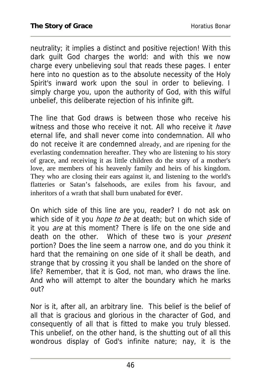neutrality; it implies a distinct and positive rejection! With this dark guilt God charges the world: and with this we now charge every unbelieving soul that reads these pages. I enter here into no question as to the absolute necessity of the Holy Spirit's inward work upon the soul in order to believing. I simply charge you, upon the authority of God, with this wilful unbelief, this deliberate rejection of his infinite gift.

The line that God draws is between those who receive his witness and those who receive it not. All who receive it *have* eternal life, and shall never come into condemnation. All who do not receive it are condemned already, and are ripening for the everlasting condemnation hereafter. They who are listening to his story of grace, and receiving it as little children do the story of a mother's love, are members of his heavenly family and heirs of his kingdom. They who are closing their ears against it, and listening to the world's flatteries or Satan's falsehoods, are exiles from his favour, and inheritors of a wrath that shall burn unabated for ever.

On which side of this line are you, reader? I do not ask on which side of it you *hope to be* at death; but on which side of it you *are* at this moment? There is life on the one side and death on the other. Which of these two is your *present* portion? Does the line seem a narrow one, and do you think it hard that the remaining on one side of it shall be death, and strange that by crossing it you shall be landed on the shore of life? Remember, that it is God, not man, who draws the line. And who will attempt to alter the boundary which he marks out?

Nor is it, after all, an arbitrary line. This belief is the belief of all that is gracious and glorious in the character of God, and consequently of all that is fitted to make you truly blessed. This unbelief, on the other hand, is the shutting out of all this wondrous display of God's infinite nature; nay, it is the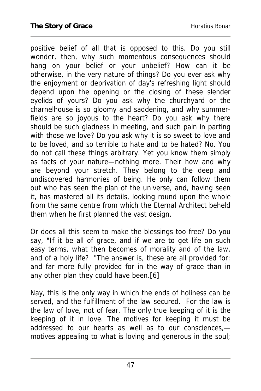positive belief of all that is opposed to this. Do you still wonder, then, why such momentous consequences should hang on your belief or your unbelief? How can it be otherwise, in the very nature of things? Do you ever ask why the enjoyment or deprivation of day's refreshing light should depend upon the opening or the closing of these slender eyelids of yours? Do you ask why the churchyard or the charnelhouse is so gloomy and saddening, and why summerfields are so joyous to the heart? Do you ask why there should be such gladness in meeting, and such pain in parting with those we love? Do you ask why it is so sweet to love and to be loved, and so terrible to hate and to be hated? No. You do not call these things arbitrary. Yet you know them simply as facts of your nature—nothing more. Their how and why are beyond your stretch. They belong to the deep and undiscovered harmonies of being. He only can follow them out who has seen the plan of the universe, and, having seen it, has mastered all its details, looking round upon the whole from the same centre from which the Eternal Architect beheld them when he first planned the vast design.

Or does all this seem to make the blessings too free? Do you say, "If it be all of grace, and if we are to get life on such easy terms, what then becomes of morality and of the law, and of a holy life? "The answer is, these are all provided for: and far more fully provided for in the way of grace than in any other plan they could have been.[6]

Nay, this is the only way in which the ends of holiness can be served, and the fulfillment of the law secured. For the law is the law of love, not of fear. The only true keeping of it is the keeping of it in love. The motives for keeping it must be addressed to our hearts as well as to our consciences, motives appealing to what is loving and generous in the soul;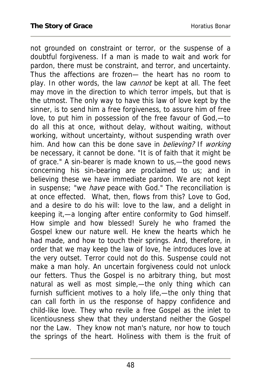not grounded on constraint or terror, or the suspense of a doubtful forgiveness. If a man is made to wait and work for pardon, there must be constraint, and terror, and uncertainty. Thus the affections are frozen— the heart has no room to play. In other words, the law *cannot* be kept at all. The feet may move in the direction to which terror impels, but that is the utmost. The only way to have this law of love kept by the sinner, is to send him a free forgiveness, to assure him of free love, to put him in possession of the free favour of God,—to do all this at once, without delay, without waiting, without working, without uncertainty, without suspending wrath over him. And how can this be done save in *believing?* If working be necessary, it cannot be done. "It is of faith that it might be of grace." A sin-bearer is made known to us,—the good news concerning his sin-bearing are proclaimed to us; and in believing these we have immediate pardon. We are not kept in suspense; "we have peace with God." The reconciliation is at once effected. What, then, flows from this? Love to God, and a desire to do his will: love to the law, and a delight in keeping it,—a longing after entire conformity to God himself. How simple and how blessed! Surely he who framed the Gospel knew our nature well. He knew the hearts which he had made, and how to touch their springs. And, therefore, in order that we may keep the law of love, he introduces love at the very outset. Terror could not do this. Suspense could not make a man holy. An uncertain forgiveness could not unlock our fetters. Thus the Gospel is no arbitrary thing, but most natural as well as most simple,—the only thing which can furnish sufficient motives to a holy life,—the only thing that can call forth in us the response of happy confidence and child-like love. They who revile a free Gospel as the inlet to licentiousness shew that they understand neither the Gospel nor the Law. They know not man's nature, nor how to touch the springs of the heart. Holiness with them is the fruit of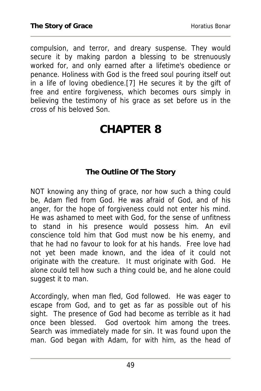compulsion, and terror, and dreary suspense. They would secure it by making pardon a blessing to be strenuously worked for, and only earned after a lifetime's obedience or penance. Holiness with God is the freed soul pouring itself out in a life of loving obedience.[7] He secures it by the gift of free and entire forgiveness, which becomes ours simply in believing the testimony of his grace as set before us in the cross of his beloved Son.

### **CHAPTER 8**

#### **The Outline Of The Story**

NOT knowing any thing of grace, nor how such a thing could be, Adam fled from God. He was afraid of God, and of his anger, for the hope of forgiveness could not enter his mind. He was ashamed to meet with God, for the sense of unfitness to stand in his presence would possess him. An evil conscience told him that God must now be his enemy, and that he had no favour to look for at his hands. Free love had not yet been made known, and the idea of it could not originate with the creature. It must originate with God. He alone could tell how such a thing could be, and he alone could suggest it to man.

Accordingly, when man fled, God followed. He was eager to escape from God, and to get as far as possible out of his sight. The presence of God had become as terrible as it had once been blessed. God overtook him among the trees. Search was immediately made for sin. It was found upon the man. God began with Adam, for with him, as the head of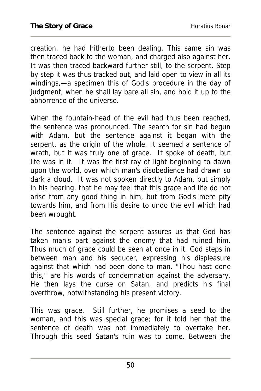creation, he had hitherto been dealing. This same sin was then traced back to the woman, and charged also against her. It was then traced backward further still, to the serpent. Step by step it was thus tracked out, and laid open to view in all its windings,—a specimen this of God's procedure in the day of judgment, when he shall lay bare all sin, and hold it up to the abhorrence of the universe.

When the fountain-head of the evil had thus been reached, the sentence was pronounced. The search for sin had begun with Adam, but the sentence against it began with the serpent, as the origin of the whole. It seemed a sentence of wrath, but it was truly one of grace. It spoke of death, but life was in it. It was the first ray of light beginning to dawn upon the world, over which man's disobedience had drawn so dark a cloud. It was not spoken directly to Adam, but simply in his hearing, that he may feel that this grace and life do not arise from any good thing in him, but from God's mere pity towards him, and from His desire to undo the evil which had been wrought.

The sentence against the serpent assures us that God has taken man's part against the enemy that had ruined him. Thus much of grace could be seen at once in it. God steps in between man and his seducer, expressing his displeasure against that which had been done to man. "Thou hast done this," are his words of condemnation against the adversary. He then lays the curse on Satan, and predicts his final overthrow, notwithstanding his present victory.

This was grace. Still further, he promises a seed to the woman, and this was special grace; for it told her that the sentence of death was not immediately to overtake her. Through this seed Satan's ruin was to come. Between the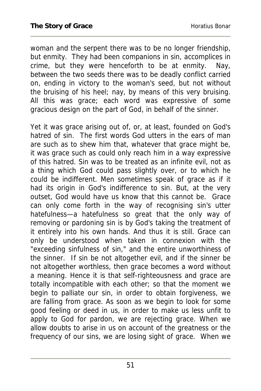woman and the serpent there was to be no longer friendship, but enmity. They had been companions in sin, accomplices in crime, but they were henceforth to be at enmity. Nay, between the two seeds there was to be deadly conflict carried on, ending in victory to the woman's seed, but not without the bruising of his heel; nay, by means of this very bruising. All this was grace; each word was expressive of some gracious design on the part of God, in behalf of the sinner.

Yet it was grace arising out of, or, at least, founded on God's hatred of sin. The first words God utters in the ears of man are such as to shew him that, whatever that grace might be, it was grace such as could only reach him in a way expressive of this hatred. Sin was to be treated as an infinite evil, not as a thing which God could pass slightly over, or to which he could be indifferent. Men sometimes speak of grace as if it had its origin in God's indifference to sin. But, at the very outset, God would have us know that this cannot be. Grace can only come forth in the way of recognising sin's utter hatefulness—a hatefulness so great that the only way of removing or pardoning sin is by God's taking the treatment of it entirely into his own hands. And thus it is still. Grace can only be understood when taken in connexion with the "exceeding sinfulness of sin," and the entire unworthiness of the sinner. If sin be not altogether evil, and if the sinner be not altogether worthless, then grace becomes a word without a meaning. Hence it is that self-righteousness and grace are totally incompatible with each other; so that the moment we begin to palliate our sin, in order to obtain forgiveness, we are falling from grace. As soon as we begin to look for some good feeling or deed in us, in order to make us less unfit to apply to God for pardon, we are rejecting grace. When we allow doubts to arise in us on account of the greatness or the frequency of our sins, we are losing sight of grace. When we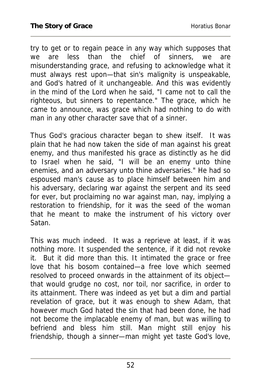try to get or to regain peace in any way which supposes that we are less than the chief of sinners, we are misunderstanding grace, and refusing to acknowledge what it must always rest upon—that sin's malignity is unspeakable, and God's hatred of it unchangeable. And this was evidently in the mind of the Lord when he said, "I came not to call the righteous, but sinners to repentance." The grace, which he came to announce, was grace which had nothing to do with man in any other character save that of a sinner.

Thus God's gracious character began to shew itself. It was plain that he had now taken the side of man against his great enemy, and thus manifested his grace as distinctly as he did to Israel when he said, "I will be an enemy unto thine enemies, and an adversary unto thine adversaries." He had so espoused man's cause as to place himself between him and his adversary, declaring war against the serpent and its seed for ever, but proclaiming no war against man, nay, implying a restoration to friendship, for it was the seed of the woman that he meant to make the instrument of his victory over Satan.

This was much indeed. It was a reprieve at least, if it was nothing more. It suspended the sentence, if it did not revoke it. But it did more than this. It intimated the grace or free love that his bosom contained—a free love which seemed resolved to proceed onwards in the attainment of its object that would grudge no cost, nor toil, nor sacrifice, in order to its attainment. There was indeed as yet but a dim and partial revelation of grace, but it was enough to shew Adam, that however much God hated the sin that had been done, he had not become the implacable enemy of man, but was willing to befriend and bless him still. Man might still enjoy his friendship, though a sinner—man might yet taste God's love,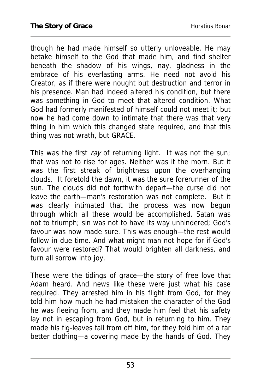though he had made himself so utterly unloveable. He may betake himself to the God that made him, and find shelter beneath the shadow of his wings, nay, gladness in the embrace of his everlasting arms. He need not avoid his Creator, as if there were nought but destruction and terror in his presence. Man had indeed altered his condition, but there was something in God to meet that altered condition. What God had formerly manifested of himself could not meet it; but now he had come down to intimate that there was that very thing in him which this changed state required, and that this thing was not wrath, but GRACE.

This was the first ray of returning light. It was not the sun; that was not to rise for ages. Neither was it the morn. But it was the first streak of brightness upon the overhanging clouds. It foretold the dawn, it was the sure forerunner of the sun. The clouds did not forthwith depart—the curse did not leave the earth—man's restoration was not complete. But it was clearly intimated that the process was now begun through which all these would be accomplished. Satan was not to triumph; sin was not to have its way unhindered; God's favour was now made sure. This was enough—the rest would follow in due time. And what might man not hope for if God's favour were restored? That would brighten all darkness, and turn all sorrow into joy.

These were the tidings of grace—the story of free love that Adam heard. And news like these were just what his case required. They arrested him in his flight from God, for they told him how much he had mistaken the character of the God he was fleeing from, and they made him feel that his safety lay not in escaping from God, but in returning to him. They made his fig-leaves fall from off him, for they told him of a far better clothing—a covering made by the hands of God. They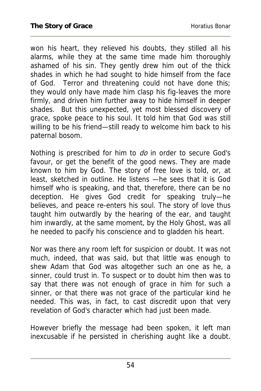won his heart, they relieved his doubts, they stilled all his alarms, while they at the same time made him thoroughly ashamed of his sin. They gently drew him out of the thick shades in which he had sought to hide himself from the face of God. Terror and threatening could not have done this; they would only have made him clasp his fig-leaves the more firmly, and driven him further away to hide himself in deeper shades. But this unexpected, yet most blessed discovery of grace, spoke peace to his soul. It told him that God was still willing to be his friend—still ready to welcome him back to his paternal bosom.

Nothing is prescribed for him to do in order to secure God's favour, or get the benefit of the good news. They are made known to him by God. The story of free love is told, or, at least, sketched in outline. He listens —he sees that it is God himself who is speaking, and that, therefore, there can be no deception. He gives God credit for speaking truly—he believes, and peace re-enters his soul. The story of love thus taught him outwardly by the hearing of the ear, and taught him inwardly, at the same moment, by the Holy Ghost, was all he needed to pacify his conscience and to gladden his heart.

Nor was there any room left for suspicion or doubt. It was not much, indeed, that was said, but that little was enough to shew Adam that God was altogether such an one as he, a sinner, could trust in. To suspect or to doubt him then was to say that there was not enough of grace in him for such a sinner, or that there was not grace of the particular kind he needed. This was, in fact, to cast discredit upon that very revelation of God's character which had just been made.

However briefly the message had been spoken, it left man inexcusable if he persisted in cherishing aught like a doubt.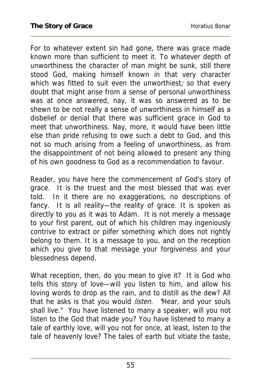For to whatever extent sin had gone, there was grace made known more than sufficient to meet it. To whatever depth of unworthiness the character of man might be sunk, still there stood God, making himself known in that very character which was fitted to suit even the unworthiest; so that every doubt that might arise from a sense of personal unworthiness was at once answered, nay, it was so answered as to be shewn to be not really a sense of unworthiness in himself as a disbelief or denial that there was sufficient grace in God to meet that unworthiness. Nay, more, it would have been little else than pride refusing to owe such a debt to God, and this not so much arising from a feeling of unworthiness, as from the disappointment of not being allowed to present any thing of his own goodness to God as a recommendation to favour.

Reader, you have here the commencement of God's story of grace. It is the truest and the most blessed that was ever told. In it there are no exaggerations, no descriptions of fancy. It is all reality—the reality of grace. It is spoken as directly to you as it was to Adam. It is not merely a message to your first parent, out of which his children may ingeniously contrive to extract or pilfer something which does not rightly belong to them. It is a message to you, and on the reception which you give to that message your forgiveness and your blessedness depend.

What reception, then, do you mean to give it? It is God who tells this story of love—will you listen to him, and allow his loving words to drop as the rain, and to distill as the dew? All that he asks is that you would *listen*. 'Hear, and your souls shall live." You have listened to many a speaker, will you not listen to the God that made you? You have listened to many a tale of earthly love, will you not for once, at least, listen to the tale of heavenly love? The tales of earth but vitiate the taste,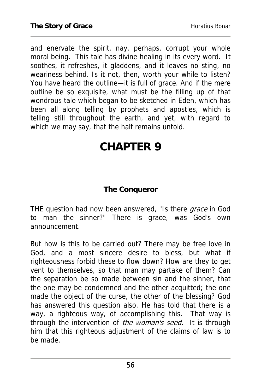and enervate the spirit, nay, perhaps, corrupt your whole moral being. This tale has divine healing in its every word. It soothes, it refreshes, it gladdens, and it leaves no sting, no weariness behind. Is it not, then, worth your while to listen? You have heard the outline—it is full of grace. And if the mere outline be so exquisite, what must be the filling up of that wondrous tale which began to be sketched in Eden, which has been all along telling by prophets and apostles, which is telling still throughout the earth, and yet, with regard to which we may say, that the half remains untold.

## **CHAPTER 9**

### **The Conqueror**

THE question had now been answered, "Is there grace in God to man the sinner?" There is grace, was God's own announcement.

But how is this to be carried out? There may be free love in God, and a most sincere desire to bless, but what if righteousness forbid these to flow down? How are they to get vent to themselves, so that man may partake of them? Can the separation be so made between sin and the sinner, that the one may be condemned and the other acquitted; the one made the object of the curse, the other of the blessing? God has answered this question also. He has told that there is a way, a righteous way, of accomplishing this. That way is through the intervention of the woman's seed. It is through him that this righteous adjustment of the claims of law is to be made.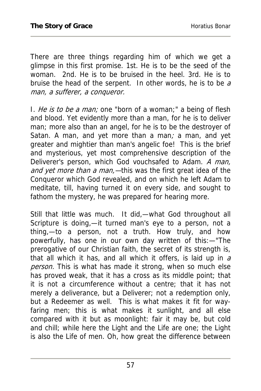There are three things regarding him of which we get a glimpse in this first promise. 1st. He is to be the seed of the woman. 2nd. He is to be bruised in the heel. 3rd. He is to bruise the head of the serpent. In other words, he is to be  $a$ man, a sufferer, a conqueror.

I. He is to be a man; one "born of a woman;" a being of flesh and blood. Yet evidently more than a man, for he is to deliver man; more also than an angel, for he is to be the destroyer of Satan. A man, and yet more than a man; a man, and yet greater and mightier than man's angelic foe! This is the brief and mysterious, yet most comprehensive description of the Deliverer's person, which God vouchsafed to Adam. A man, and yet more than a man,—this was the first great idea of the Conqueror which God revealed, and on which he left Adam to meditate, till, having turned it on every side, and sought to fathom the mystery, he was prepared for hearing more.

Still that little was much. It did,—what God throughout all Scripture is doing,—it turned man's eye to a person, not a thing,—to a person, not a truth. How truly, and how powerfully, has one in our own day written of this:—"The prerogative of our Christian faith, the secret of its strength is, that all which it has, and all which it offers, is laid up in  $a$ person. This is what has made it strong, when so much else has proved weak, that it has a cross as its middle point; that it is not a circumference without a centre; that it has not merely a deliverance, but a Deliverer; not a redemption only, but a Redeemer as well. This is what makes it fit for wayfaring men; this is what makes it sunlight, and all else compared with it but as moonlight: fair it may be, but cold and chill; while here the Light and the Life are one; the Light is also the Life of men. Oh, how great the difference between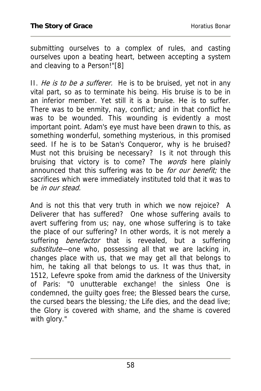submitting ourselves to a complex of rules, and casting ourselves upon a beating heart, between accepting a system and cleaving to a Person!"[8]

II. He is to be a sufferer. He is to be bruised, yet not in any vital part, so as to terminate his being. His bruise is to be in an inferior member. Yet still it is a bruise. He is to suffer. There was to be enmity, nay, conflict; and in that conflict he was to be wounded. This wounding is evidently a most important point. Adam's eye must have been drawn to this, as something wonderful, something mysterious, in this promised seed. If he is to be Satan's Conqueror, why is he bruised? Must not this bruising be necessary? Is it not through this bruising that victory is to come? The words here plainly announced that this suffering was to be for our benefit; the sacrifices which were immediately instituted told that it was to be *in our stead*.

And is not this that very truth in which we now rejoice? A Deliverer that has suffered? One whose suffering avails to avert suffering from us; nay, one whose suffering is to take the place of our suffering? In other words, it is not merely a suffering *benefactor* that is revealed, but a suffering substitute—one who, possessing all that we are lacking in, changes place with us, that we may get all that belongs to him, he taking all that belongs to us. It was thus that, in 1512, Lefevre spoke from amid the darkness of the University of Paris: "0 unutterable exchange! the sinless One is condemned, the guilty goes free; the Blessed bears the curse, the cursed bears the blessing; the Life dies, and the dead live; the Glory is covered with shame, and the shame is covered with glory."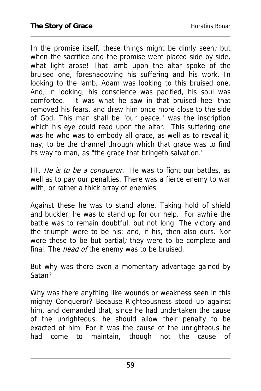In the promise itself, these things might be dimly seen; but when the sacrifice and the promise were placed side by side, what light arose! That lamb upon the altar spoke of the bruised one, foreshadowing his suffering and his work. In looking to the lamb, Adam was looking to this bruised one. And, in looking, his conscience was pacified, his soul was comforted. It was what he saw in that bruised heel that removed his fears, and drew him once more close to the side of God. This man shall be "our peace," was the inscription which his eye could read upon the altar. This suffering one was he who was to embody all grace, as well as to reveal it; nay, to be the channel through which that grace was to find its way to man, as "the grace that bringeth salvation."

III. He is to be a conqueror. He was to fight our battles, as well as to pay our penalties. There was a fierce enemy to war with, or rather a thick array of enemies.

Against these he was to stand alone. Taking hold of shield and buckler, he was to stand up for our help. For awhile the battle was to remain doubtful, but not long. The victory and the triumph were to be his; and, if his, then also ours. Nor were these to be but partial; they were to be complete and final. The *head of* the enemy was to be bruised.

But why was there even a momentary advantage gained by Satan?

Why was there anything like wounds or weakness seen in this mighty Conqueror? Because Righteousness stood up against him, and demanded that, since he had undertaken the cause of the unrighteous, he should allow their penalty to be exacted of him. For it was the cause of the unrighteous he had come to maintain, though not the cause of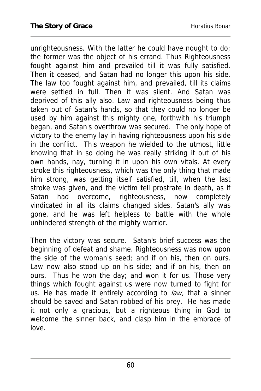unrighteousness. With the latter he could have nought to do; the former was the object of his errand. Thus Righteousness fought against him and prevailed till it was fully satisfied. Then it ceased, and Satan had no longer this upon his side. The law too fought against him, and prevailed, till its claims were settled in full. Then it was silent. And Satan was deprived of this ally also. Law and righteousness being thus taken out of Satan's hands, so that they could no longer be used by him against this mighty one, forthwith his triumph began, and Satan's overthrow was secured. The only hope of victory to the enemy lay in having righteousness upon his side in the conflict. This weapon he wielded to the utmost, little knowing that in so doing he was really striking it out of his own hands, nay, turning it in upon his own vitals. At every stroke this righteousness, which was the only thing that made him strong, was getting itself satisfied, till, when the last stroke was given, and the victim fell prostrate in death, as if Satan had overcome, righteousness, now completely vindicated in all its claims changed sides. Satan's ally was gone, and he was left helpless to battle with the whole unhindered strength of the mighty warrior.

Then the victory was secure. Satan's brief success was the beginning of defeat and shame. Righteousness was now upon the side of the woman's seed; and if on his, then on ours. Law now also stood up on his side; and if on his, then on ours. Thus he won the day; and won it for us. Those very things which fought against us were now turned to fight for us. He has made it entirely according to law, that a sinner should be saved and Satan robbed of his prey. He has made it not only a gracious, but a righteous thing in God to welcome the sinner back, and clasp him in the embrace of love.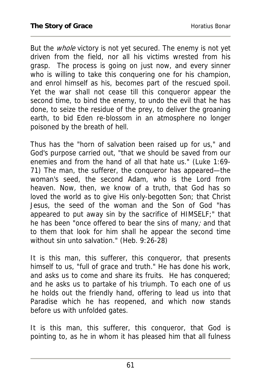But the whole victory is not yet secured. The enemy is not yet driven from the field, nor all his victims wrested from his grasp. The process is going on just now, and every sinner who is willing to take this conquering one for his champion, and enrol himself as his, becomes part of the rescued spoil. Yet the war shall not cease till this conqueror appear the second time, to bind the enemy, to undo the evil that he has done, to seize the residue of the prey, to deliver the groaning earth, to bid Eden re-blossom in an atmosphere no longer poisoned by the breath of hell.

Thus has the "horn of salvation been raised up for us," and God's purpose carried out, "that we should be saved from our enemies and from the hand of all that hate us." (Luke 1:69- 71) The man, the sufferer, the conqueror has appeared—the woman's seed, the second Adam, who is the Lord from heaven. Now, then, we know of a truth, that God has so loved the world as to give His only-begotten Son; that Christ Jesus, the seed of the woman and the Son of God "has appeared to put away sin by the sacrifice of HIMSELF;" that he has been "once offered to bear the sins of many; and that to them that look for him shall he appear the second time without sin unto salvation." (Heb. 9:26-28)

It is this man, this sufferer, this conqueror, that presents himself to us, "full of grace and truth." He has done his work, and asks us to come and share its fruits. He has conquered; and he asks us to partake of his triumph. To each one of us he holds out the friendly hand, offering to lead us into that Paradise which he has reopened, and which now stands before us with unfolded gates.

It is this man, this sufferer, this conqueror, that God is pointing to, as he in whom it has pleased him that all fulness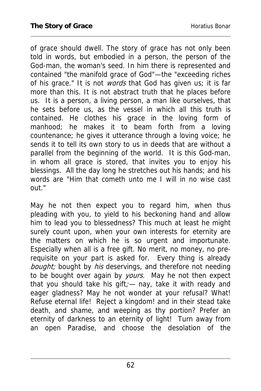of grace should dwell. The story of grace has not only been told in words, but embodied in a person, the person of the God-man, the woman's seed. In him there is represented and contained "the manifold grace of God"—the "exceeding riches of his grace." It is not *words* that God has given us; it is far more than this. It is not abstract truth that he places before us. It is a person, a living person, a man like ourselves, that he sets before us, as the vessel in which all this truth is contained. He clothes his grace in the loving form of manhood; he makes it to beam forth from a loving countenance; he gives it utterance through a loving voice; he sends it to tell its own story to us in deeds that are without a parallel from the beginning of the world. It is this God-man, in whom all grace is stored, that invites you to enjoy his blessings. All the day long he stretches out his hands; and his words are "Him that cometh unto me I will in no wise cast out."

May he not then expect you to regard him, when thus pleading with you, to yield to his beckoning hand and allow him to lead you to blessedness? This much at least he might surely count upon, when your own interests for eternity are the matters on which he is so urgent and importunate. Especially when all is a free gift. No merit, no money, no prerequisite on your part is asked for. Every thing is already bought; bought by his deservings, and therefore not needing to be bought over again by *yours*. May he not then expect that you should take his gift;  $-$  nay, take it with ready and eager gladness? May he not wonder at your refusal? What! Refuse eternal life! Reject a kingdom! and in their stead take death, and shame, and weeping as thy portion? Prefer an eternity of darkness to an eternity of light! Turn away from an open Paradise, and choose the desolation of the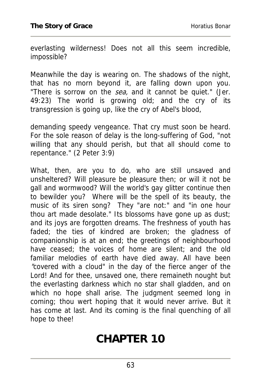everlasting wilderness! Does not all this seem incredible, impossible?

Meanwhile the day is wearing on. The shadows of the night, that has no morn beyond it, are falling down upon you. "There is sorrow on the sea, and it cannot be quiet." (Jer. 49:23) The world is growing old; and the cry of its transgression is going up, like the cry of Abel's blood,

demanding speedy vengeance. That cry must soon be heard. For the sole reason of delay is the long-suffering of God, "not willing that any should perish, but that all should come to repentance." (2 Peter 3:9)

What, then, are you to do, who are still unsaved and unsheltered? Will pleasure be pleasure then; or will it not be gall and wormwood? Will the world's gay glitter continue then to bewilder you? Where will be the spell of its beauty, the music of its siren song? They "are not:" and "in one hour thou art made desolate." Its blossoms have gone up as dust; and its joys are forgotten dreams. The freshness of youth has faded; the ties of kindred are broken; the gladness of companionship is at an end; the greetings of neighbourhood have ceased; the voices of home are silent; and the old familiar melodies of earth have died away. All have been "covered with a cloud" in the day of the fierce anger of the Lord! And for thee, unsaved one, there remaineth nought but the everlasting darkness which no star shall gladden, and on which no hope shall arise. The judgment seemed long in coming; thou wert hoping that it would never arrive. But it has come at last. And its coming is the final quenching of all hope to thee!

## **CHAPTER 10**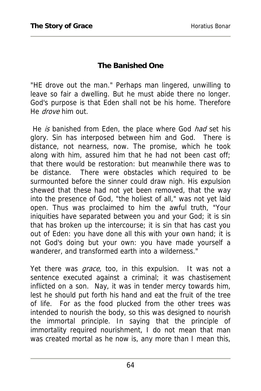#### **The Banished One**

"HE drove out the man." Perhaps man lingered, unwilling to leave so fair a dwelling. But he must abide there no longer. God's purpose is that Eden shall not be his home. Therefore He *drove* him out.

He is banished from Eden, the place where God had set his glory. Sin has interposed between him and God. There is distance, not nearness, now. The promise, which he took along with him, assured him that he had not been cast off; that there would be restoration: but meanwhile there was to be distance. There were obstacles which required to be surmounted before the sinner could draw nigh. His expulsion shewed that these had not yet been removed, that the way into the presence of God, "the holiest of all," was not yet laid open. Thus was proclaimed to him the awful truth, "Your iniquities have separated between you and your God; it is sin that has broken up the intercourse; it is sin that has cast you out of Eden: you have done all this with your own hand; it is not God's doing but your own: you have made yourself a wanderer, and transformed earth into a wilderness."

Yet there was *grace*, too, in this expulsion. It was not a sentence executed against a criminal; it was chastisement inflicted on a son. Nay, it was in tender mercy towards him, lest he should put forth his hand and eat the fruit of the tree of life. For as the food plucked from the other trees was intended to nourish the body, so this was designed to nourish the immortal principle. In saying that the principle of immortality required nourishment, I do not mean that man was created mortal as he now is, any more than I mean this,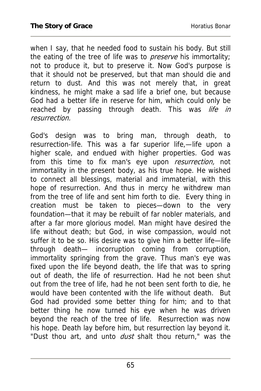when I say, that he needed food to sustain his body. But still the eating of the tree of life was to *preserve* his immortality; not to produce it, but to preserve it. Now God's purpose is that it should not be preserved, but that man should die and return to dust. And this was not merely that, in great kindness, he might make a sad life a brief one, but because God had a better life in reserve for him, which could only be reached by passing through death. This was life in resurrection.

God's design was to bring man, through death, to resurrection-life. This was a far superior life,—life upon a higher scale, and endued with higher properties. God was from this time to fix man's eye upon *resurrection*, not immortality in the present body, as his true hope. He wished to connect all blessings, material and immaterial, with this hope of resurrection. And thus in mercy he withdrew man from the tree of life and sent him forth to die. Every thing in creation must be taken to pieces—down to the very foundation—that it may be rebuilt of far nobler materials, and after a far more glorious model. Man might have desired the life without death; but God, in wise compassion, would not suffer it to be so. His desire was to give him a better life—life through death— incorruption coming from corruption, immortality springing from the grave. Thus man's eye was fixed upon the life beyond death, the life that was to spring out of death, the life of resurrection. Had he not been shut out from the tree of life, had he not been sent forth to die, he would have been contented with the life without death. But God had provided some better thing for him; and to that better thing he now turned his eye when he was driven beyond the reach of the tree of life. Resurrection was now his hope. Death lay before him, but resurrection lay beyond it. "Dust thou art, and unto *dust* shalt thou return," was the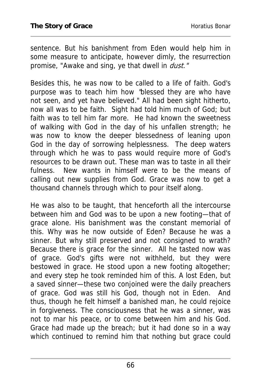sentence. But his banishment from Eden would help him in some measure to anticipate, however dimly, the resurrection promise, "Awake and sing, ye that dwell in *dust."* 

Besides this, he was now to be called to a life of faith. God's purpose was to teach him how "blessed they are who have not seen, and yet have believed." All had been sight hitherto, now all was to be faith. Sight had told him much of God; but faith was to tell him far more. He had known the sweetness of walking with God in the day of his unfallen strength; he was now to know the deeper blessedness of leaning upon God in the day of sorrowing helplessness. The deep waters through which he was to pass would require more of God's resources to be drawn out. These man was to taste in all their fulness. New wants in himself were to be the means of calling out new supplies from God. Grace was now to get a thousand channels through which to pour itself along.

He was also to be taught, that henceforth all the intercourse between him and God was to be upon a new footing—that of grace alone. His banishment was the constant memorial of this. Why was he now outside of Eden? Because he was a sinner. But why still preserved and not consigned to wrath? Because there is grace for the sinner. All he tasted now was of grace. God's gifts were not withheld, but they were bestowed in grace. He stood upon a new footing altogether; and every step he took reminded him of this. A lost Eden, but a saved sinner—these two conjoined were the daily preachers of grace. God was still his God, though not in Eden. And thus, though he felt himself a banished man, he could rejoice in forgiveness. The consciousness that he was a sinner, was not to mar his peace, or to come between him and his God. Grace had made up the breach; but it had done so in a way which continued to remind him that nothing but grace could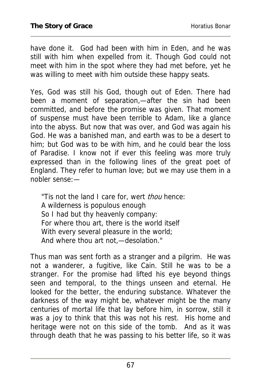have done it. God had been with him in Eden, and he was still with him when expelled from it. Though God could not meet with him in the spot where they had met before, yet he was willing to meet with him outside these happy seats.

Yes, God was still his God, though out of Eden. There had been a moment of separation,—after the sin had been committed, and before the promise was given. That moment of suspense must have been terrible to Adam, like a glance into the abyss. But now that was over, and God was again his God. He was a banished man, and earth was to be a desert to him; but God was to be with him, and he could bear the loss of Paradise. I know not if ever this feeling was more truly expressed than in the following lines of the great poet of England. They refer to human love; but we may use them in a nobler sense:—

"Tis not the land I care for, wert *thou* hence: A wilderness is populous enough So I had but thy heavenly company: For where thou art, there is the world itself With every several pleasure in the world; And where thou art not,—desolation."

Thus man was sent forth as a stranger and a pilgrim. He was not a wanderer, a fugitive, like Cain. Still he was to be a stranger. For the promise had lifted his eye beyond things seen and temporal, to the things unseen and eternal. He looked for the better, the enduring substance. Whatever the darkness of the way might be, whatever might be the many centuries of mortal life that lay before him, in sorrow, still it was a joy to think that this was not his rest. His home and heritage were not on this side of the tomb. And as it was through death that he was passing to his better life, so it was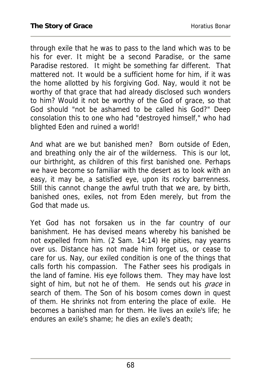through exile that he was to pass to the land which was to be his for ever. It might be a second Paradise, or the same Paradise restored. It might be something far different. That mattered not. It would be a sufficient home for him, if it was the home allotted by his forgiving God. Nay, would it not be worthy of that grace that had already disclosed such wonders to him? Would it not be worthy of the God of grace, so that God should "not be ashamed to be called his God?" Deep consolation this to one who had "destroyed himself," who had blighted Eden and ruined a world!

And what are we but banished men? Born outside of Eden, and breathing only the air of the wilderness. This is our lot, our birthright, as children of this first banished one. Perhaps we have become so familiar with the desert as to look with an easy, it may be, a satisfied eye, upon its rocky barrenness. Still this cannot change the awful truth that we are, by birth, banished ones, exiles, not from Eden merely, but from the God that made us.

Yet God has not forsaken us in the far country of our banishment. He has devised means whereby his banished be not expelled from him. (2 Sam. 14:14) He pities, nay yearns over us. Distance has not made him forget us, or cease to care for us. Nay, our exiled condition is one of the things that calls forth his compassion. The Father sees his prodigals in the land of famine. His eye follows them. They may have lost sight of him, but not he of them. He sends out his grace in search of them. The Son of his bosom comes down in quest of them. He shrinks not from entering the place of exile. He becomes a banished man for them. He lives an exile's life; he endures an exile's shame; he dies an exile's death;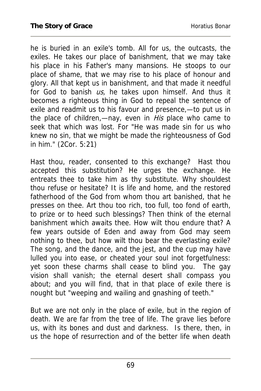he is buried in an exile's tomb. All for us, the outcasts, the exiles. He takes our place of banishment, that we may take his place in his Father's many mansions. He stoops to our place of shame, that we may rise to his place of honour and glory. All that kept us in banishment, and that made it needful for God to banish  $US$ , he takes upon himself. And thus it becomes a righteous thing in God to repeal the sentence of exile and readmit us to his favour and presence,—to put us in the place of children,—nay, even in *His* place who came to seek that which was lost. For "He was made sin for us who knew no sin, that we might be made the righteousness of God in him." (2Cor. 5:21)

Hast thou, reader, consented to this exchange? Hast thou accepted this substitution? He urges the exchange. He entreats thee to take him as thy substitute. Why shouldest thou refuse or hesitate? It is life and home, and the restored fatherhood of the God from whom thou art banished, that he presses on thee. Art thou too rich, too full, too fond of earth, to prize or to heed such blessings? Then think of the eternal banishment which awaits thee. How wilt thou endure that? A few years outside of Eden and away from God may seem nothing to thee, but how wilt thou bear the everlasting exile? The song, and the dance, and the jest, and the cup may have lulled you into ease, or cheated your soul inot forgetfulness: yet soon these charms shall cease to blind you. The gay vision shall vanish; the eternal desert shall compass you about; and you will find, that in that place of exile there is nought but "weeping and wailing and gnashing of teeth."

But we are not only in the place of exile, but in the region of death. We are far from the tree of life. The grave lies before us, with its bones and dust and darkness. Is there, then, in us the hope of resurrection and of the better life when death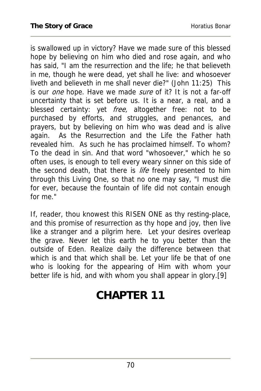is swallowed up in victory? Have we made sure of this blessed hope by believing on him who died and rose again, and who has said, "I am the resurrection and the life; he that believeth in me, though he were dead, yet shall he live: and whosoever liveth and believeth in me shall never die?" (John 11:25) This is our *one* hope. Have we made *sure* of it? It is not a far-off uncertainty that is set before us. It is a near, a real, and a blessed certainty: yet *free*, altogether free: not to be purchased by efforts, and struggles, and penances, and prayers, but by believing on him who was dead and is alive again. As the Resurrection and the Life the Father hath revealed him. As such he has proclaimed himself. To whom? To the dead in sin. And that word "whosoever," which he so often uses, is enough to tell every weary sinner on this side of the second death, that there is *life* freely presented to him through this Living One, so that no one may say, "I must die for ever, because the fountain of life did not contain enough for me."

If, reader, thou knowest this RISEN ONE as thy resting-place, and this promise of resurrection as thy hope and joy, then live like a stranger and a pilgrim here. Let your desires overleap the grave. Never let this earth he to you better than the outside of Eden. Realize daily the difference between that which is and that which shall be. Let your life be that of one who is looking for the appearing of Him with whom your better life is hid, and with whom you shall appear in glory.[9]

# **CHAPTER 11**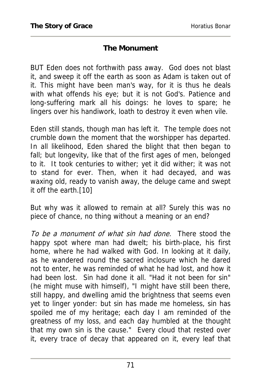#### **The Monument**

BUT Eden does not forthwith pass away. God does not blast it, and sweep it off the earth as soon as Adam is taken out of it. This might have been man's way, for it is thus he deals with what offends his eye; but it is not God's. Patience and long-suffering mark all his doings: he loves to spare; he lingers over his handiwork, loath to destroy it even when vile.

Eden still stands, though man has left it. The temple does not crumble down the moment that the worshipper has departed. In all likelihood, Eden shared the blight that then began to fall; but longevity, like that of the first ages of men, belonged to it. It took centuries to wither; yet it did wither; it was not to stand for ever. Then, when it had decayed, and was waxing old, ready to vanish away, the deluge came and swept it off the earth.[10]

But why was it allowed to remain at all? Surely this was no piece of chance, no thing without a meaning or an end?

To be a monument of what sin had done. There stood the happy spot where man had dwelt; his birth-place, his first home, where he had walked with God. In looking at it daily, as he wandered round the sacred inclosure which he dared not to enter, he was reminded of what he had lost, and how it had been lost. Sin had done it all. "Had it not been for sin" (he might muse with himself), "I might have still been there, still happy, and dwelling amid the brightness that seems even yet to linger yonder: but sin has made me homeless, sin has spoiled me of my heritage; each day I am reminded of the greatness of my loss, and each day humbled at the thought that my own sin is the cause." Every cloud that rested over it, every trace of decay that appeared on it, every leaf that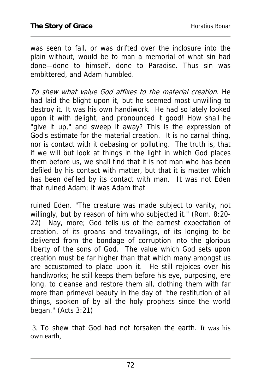was seen to fall, or was drifted over the inclosure into the plain without, would be to man a memorial of what sin had done—done to himself, done to Paradise. Thus sin was embittered, and Adam humbled.

To shew what value God affixes to the material creation. He had laid the blight upon it, but he seemed most unwilling to destroy it. It was his own handiwork. He had so lately looked upon it with delight, and pronounced it good! How shall he "give it up," and sweep it away? This is the expression of God's estimate for the material creation. It is no carnal thing, nor is contact with it debasing or polluting. The truth is, that if we will but look at things in the light in which God places them before us, we shall find that it is not man who has been defiled by his contact with matter, but that it is matter which has been defiled by its contact with man. It was not Eden that ruined Adam; it was Adam that

ruined Eden. "The creature was made subject to vanity, not willingly, but by reason of him who subjected it." (Rom. 8:20- 22) Nay, more; God tells us of the earnest expectation of creation, of its groans and travailings, of its longing to be delivered from the bondage of corruption into the glorious liberty of the sons of God. The value which God sets upon creation must be far higher than that which many amongst us are accustomed to place upon it. He still rejoices over his handiworks; he still keeps them before his eye, purposing, ere long, to cleanse and restore them all, clothing them with far more than primeval beauty in the day of "the restitution of all things, spoken of by all the holy prophets since the world began." (Acts 3:21)

 3. To shew that God had not forsaken the earth. It was his own earth,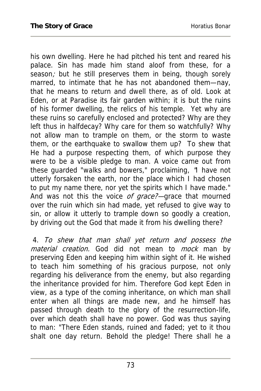his own dwelling. Here he had pitched his tent and reared his palace. Sin has made him stand aloof from these, for a season; but he still preserves them in being, though sorely marred, to intimate that he has not abandoned them—nay, that he means to return and dwell there, as of old. Look at Eden, or at Paradise its fair garden within; it is but the ruins of his former dwelling, the relics of his temple. Yet why are these ruins so carefully enclosed and protected? Why are they left thus in halfdecay? Why care for them so watchfully? Why not allow man to trample on them, or the storm to waste them, or the earthquake to swallow them up? To shew that He had a purpose respecting them, of which purpose they were to be a visible pledge to man. A voice came out from these guarded "walks and bowers," proclaiming, "I have not utterly forsaken the earth, nor the place which I had chosen to put my name there, nor yet the spirits which I have made." And was not this the voice of grace?—grace that mourned over the ruin which sin had made, yet refused to give way to sin, or allow it utterly to trample down so goodly a creation, by driving out the God that made it from his dwelling there?

 4. To shew that man shall yet return and possess the material creation. God did not mean to mock man by preserving Eden and keeping him within sight of it. He wished to teach him something of his gracious purpose, not only regarding his deliverance from the enemy, but also regarding the inheritance provided for him. Therefore God kept Eden in view, as a type of the coming inheritance, on which man shall enter when all things are made new, and he himself has passed through death to the glory of the resurrection-life, over which death shall have no power. God was thus saying to man: "There Eden stands, ruined and faded; yet to it thou shalt one day return. Behold the pledge! There shall he a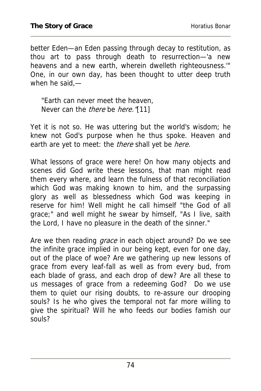better Eden—an Eden passing through decay to restitution, as thou art to pass through death to resurrection—'a new heavens and a new earth, wherein dwelleth righteousness.'" One, in our own day, has been thought to utter deep truth when he said,—

"Earth can never meet the heaven, Never can the *there* be *here*. "[11]

Yet it is not so. He was uttering but the world's wisdom; he knew not God's purpose when he thus spoke. Heaven and earth are yet to meet: the *there* shall yet be *here.* 

What lessons of grace were here! On how many objects and scenes did God write these lessons, that man might read them every where, and learn the fulness of that reconciliation which God was making known to him, and the surpassing glory as well as blessedness which God was keeping in reserve for him! Well might he call himself "the God of all grace;" and well might he swear by himself, "As I live, saith the Lord, I have no pleasure in the death of the sinner."

Are we then reading *grace* in each object around? Do we see the infinite grace implied in our being kept, even for one day, out of the place of woe? Are we gathering up new lessons of grace from every leaf-fall as well as from every bud, from each blade of grass, and each drop of dew? Are all these to us messages of grace from a redeeming God? Do we use them to quiet our rising doubts, to re-assure our drooping souls? Is he who gives the temporal not far more willing to give the spiritual? Will he who feeds our bodies famish our souls?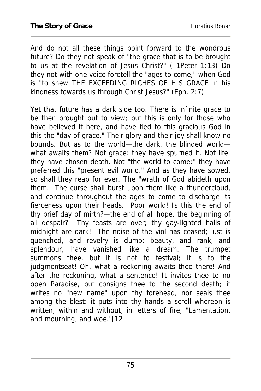And do not all these things point forward to the wondrous future? Do they not speak of "the grace that is to be brought to us at the revelation of Jesus Christ?" ( 1Peter 1:13) Do they not with one voice foretell the "ages to come," when God is "to shew THE EXCEEDING RICHES OF HIS GRACE in his kindness towards us through Christ Jesus?" (Eph. 2:7)

Yet that future has a dark side too. There is infinite grace to be then brought out to view; but this is only for those who have believed it here, and have fled to this gracious God in this the "day of grace." Their glory and their joy shall know no bounds. But as to the world—the dark, the blinded world what awaits them? Not grace: they have spurned it. Not life: they have chosen death. Not "the world to come:" they have preferred this "present evil world." And as they have sowed, so shall they reap for ever. The "wrath of God abideth upon them." The curse shall burst upon them like a thundercloud, and continue throughout the ages to come to discharge its fierceness upon their heads. Poor world! Is this the end of thy brief day of mirth?—the end of all hope, the beginning of all despair? Thy feasts are over; thy gay-lighted halls of midnight are dark! The noise of the viol has ceased; lust is quenched, and revelry is dumb; beauty, and rank, and splendour, have vanished like a dream. The trumpet summons thee, but it is not to festival; it is to the judgmentseat! Oh, what a reckoning awaits thee there! And after the reckoning, what a sentence! It invites thee to no open Paradise, but consigns thee to the second death; it writes no "new name" upon thy forehead, nor seals thee among the blest: it puts into thy hands a scroll whereon is written, within and without, in letters of fire, "Lamentation, and mourning, and woe."[12]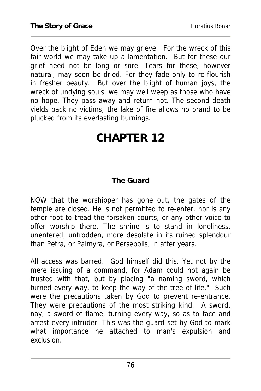Over the blight of Eden we may grieve. For the wreck of this fair world we may take up a lamentation. But for these our grief need not be long or sore. Tears for these, however natural, may soon be dried. For they fade only to re-flourish in fresher beauty. But over the blight of human joys, the wreck of undying souls, we may well weep as those who have no hope. They pass away and return not. The second death yields back no victims; the lake of fire allows no brand to be plucked from its everlasting burnings.

# **CHAPTER 12**

#### **The Guard**

NOW that the worshipper has gone out, the gates of the temple are closed. He is not permitted to re-enter, nor is any other foot to tread the forsaken courts, or any other voice to offer worship there. The shrine is to stand in loneliness, unentered, untrodden, more desolate in its ruined splendour than Petra, or Palmyra, or Persepolis, in after years.

All access was barred. God himself did this. Yet not by the mere issuing of a command, for Adam could not again be trusted with that, but by placing "a naming sword, which turned every way, to keep the way of the tree of life." Such were the precautions taken by God to prevent re-entrance. They were precautions of the most striking kind. A sword, nay, a sword of flame, turning every way, so as to face and arrest every intruder. This was the guard set by God to mark what importance he attached to man's expulsion and exclusion.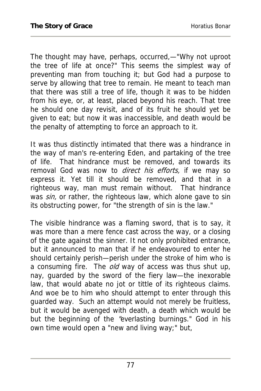The thought may have, perhaps, occurred,—"Why not uproot the tree of life at once?" This seems the simplest way of preventing man from touching it; but God had a purpose to serve by allowing that tree to remain. He meant to teach man that there was still a tree of life, though it was to be hidden from his eye, or, at least, placed beyond his reach. That tree he should one day revisit, and of its fruit he should yet be given to eat; but now it was inaccessible, and death would be the penalty of attempting to force an approach to it.

It was thus distinctly intimated that there was a hindrance in the way of man's re-entering Eden, and partaking of the tree of life. That hindrance must be removed, and towards its removal God was now to *direct his efforts*, if we may so express it. Yet till it should be removed, and that in a righteous way, man must remain without. That hindrance was sin, or rather, the righteous law, which alone gave to sin its obstructing power, for "the strength of sin is the law."

The visible hindrance was a flaming sword, that is to say, it was more than a mere fence cast across the way, or a closing of the gate against the sinner. It not only prohibited entrance, but it announced to man that if he endeavoured to enter he should certainly perish—perish under the stroke of him who is a consuming fire. The *old* way of access was thus shut up, nay, guarded by the sword of the fiery law—the inexorable law, that would abate no jot or tittle of its righteous claims. And woe be to him who should attempt to enter through this guarded way. Such an attempt would not merely be fruitless, but it would be avenged with death, a death which would be but the beginning of the "everlasting burnings." God in his own time would open a "new and living way;" but,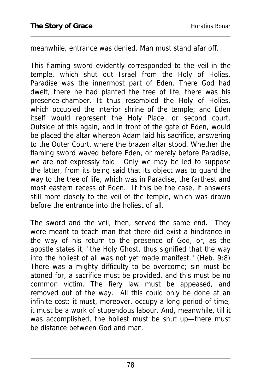meanwhile, entrance was denied. Man must stand afar off.

This flaming sword evidently corresponded to the veil in the temple, which shut out Israel from the Holy of Holies. Paradise was the innermost part of Eden. There God had dwelt, there he had planted the tree of life, there was his presence-chamber. It thus resembled the Holy of Holies, which occupied the interior shrine of the temple; and Eden itself would represent the Holy Place, or second court. Outside of this again, and in front of the gate of Eden, would be placed the altar whereon Adam laid his sacrifice, answering to the Outer Court, where the brazen altar stood. Whether the flaming sword waved before Eden, or merely before Paradise, we are not expressly told. Only we may be led to suppose the latter, from its being said that its object was to guard the way to the tree of life, which was in Paradise, the farthest and most eastern recess of Eden. If this be the case, it answers still more closely to the veil of the temple, which was drawn before the entrance into the holiest of all.

The sword and the veil, then, served the same end. They were meant to teach man that there did exist a hindrance in the way of his return to the presence of God, or, as the apostle states it, "the Holy Ghost, thus signified that the way into the holiest of all was not yet made manifest." (Heb. 9:8) There was a mighty difficulty to be overcome; sin must be atoned for, a sacrifice must be provided, and this must be no common victim. The fiery law must be appeased, and removed out of the way. All this could only be done at an infinite cost: it must, moreover, occupy a long period of time; it must be a work of stupendous labour. And, meanwhile, till it was accomplished, the holiest must be shut up—there must be distance between God and man.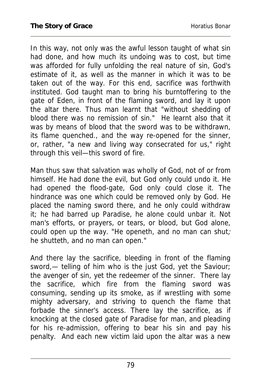In this way, not only was the awful lesson taught of what sin had done, and how much its undoing was to cost, but time was afforded for fully unfolding the real nature of sin, God's estimate of it, as well as the manner in which it was to be taken out of the way. For this end, sacrifice was forthwith instituted. God taught man to bring his burntoffering to the gate of Eden, in front of the flaming sword, and lay it upon the altar there. Thus man learnt that "without shedding of blood there was no remission of sin." He learnt also that it was by means of blood that the sword was to be withdrawn, its flame quenched., and the way re-opened for the sinner, or, rather, "a new and living way consecrated for us," right through this veil—this sword of fire.

Man thus saw that salvation was wholly of God, not of or from himself. He had done the evil, but God only could undo it. He had opened the flood-gate, God only could close it. The hindrance was one which could be removed only by God. He placed the naming sword there, and he only could withdraw it; he had barred up Paradise, he alone could unbar it. Not man's efforts, or prayers, or tears, or blood, but God alone, could open up the way. "He openeth, and no man can shut; he shutteth, and no man can open."

And there lay the sacrifice, bleeding in front of the flaming sword,— telling of him who is the just God, yet the Saviour; the avenger of sin, yet the redeemer of the sinner. There lay the sacrifice, which fire from the flaming sword was consuming, sending up its smoke, as if wrestling with some mighty adversary, and striving to quench the flame that forbade the sinner's access. There lay the sacrifice, as if knocking at the closed gate of Paradise for man, and pleading for his re-admission, offering to bear his sin and pay his penalty. And each new victim laid upon the altar was a new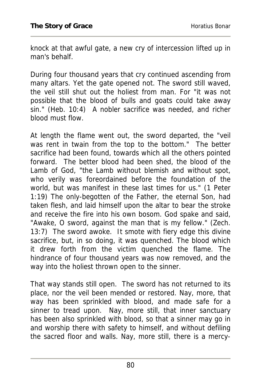knock at that awful gate, a new cry of intercession lifted up in man's behalf.

During four thousand years that cry continued ascending from many altars. Yet the gate opened not. The sword still waved, the veil still shut out the holiest from man. For "it was not possible that the blood of bulls and goats could take away sin." (Heb. 10:4) A nobler sacrifice was needed, and richer blood must flow.

At length the flame went out, the sword departed, the "veil was rent in twain from the top to the bottom." The better sacrifice had been found, towards which all the others pointed forward. The better blood had been shed, the blood of the Lamb of God, "the Lamb without blemish and without spot, who verily was foreordained before the foundation of the world, but was manifest in these last times for us." (1 Peter 1:19) The only-begotten of the Father, the eternal Son, had taken flesh, and laid himself upon the altar to bear the stroke and receive the fire into his own bosom. God spake and said, "Awake, O sword, against the man that is my fellow." (Zech. 13:7) The sword awoke. It smote with fiery edge this divine sacrifice, but, in so doing, it was quenched. The blood which it drew forth from the victim quenched the flame. The hindrance of four thousand years was now removed, and the way into the holiest thrown open to the sinner.

That way stands still open. The sword has not returned to its place, nor the veil been mended or restored. Nay, more, that way has been sprinkled with blood, and made safe for a sinner to tread upon. Nay, more still, that inner sanctuary has been also sprinkled with blood, so that a sinner may go in and worship there with safety to himself, and without defiling the sacred floor and walls. Nay, more still, there is a mercy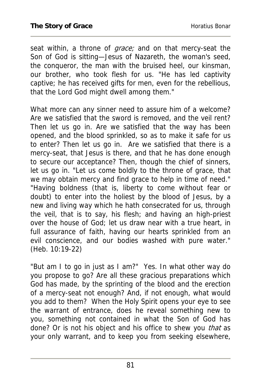seat within, a throne of *grace;* and on that mercy-seat the Son of God is sitting—Jesus of Nazareth, the woman's seed, the conqueror, the man with the bruised heel, our kinsman, our brother, who took flesh for us. "He has led captivity captive; he has received gifts for men, even for the rebellious, that the Lord God might dwell among them."

What more can any sinner need to assure him of a welcome? Are we satisfied that the sword is removed, and the veil rent? Then let us go in. Are we satisfied that the way has been opened, and the blood sprinkled, so as to make it safe for us to enter? Then let us go in. Are we satisfied that there is a mercy-seat, that Jesus is there, and that he has done enough to secure our acceptance? Then, though the chief of sinners, let us go in. "Let us come boldly to the throne of grace, that we may obtain mercy and find grace to help in time of need." "Having boldness (that is, liberty to come without fear or doubt) to enter into the holiest by the blood of Jesus, by a new and living way which he hath consecrated for us, through the veil, that is to say, his flesh; and having an high-priest over the house of God; let us draw near with a true heart, in full assurance of faith, having our hearts sprinkled from an evil conscience, and our bodies washed with pure water." (Heb. 10:19-22)

"But am I to go in just as I am?" Yes. In what other way do you propose to go? Are all these gracious preparations which God has made, by the sprinting of the blood and the erection of a mercy-seat not enough? And, if not enough, what would you add to them? When the Holy Spirit opens your eye to see the warrant of entrance, does he reveal something new to you, something not contained in what the Son of God has done? Or is not his object and his office to shew you that as your only warrant, and to keep you from seeking elsewhere,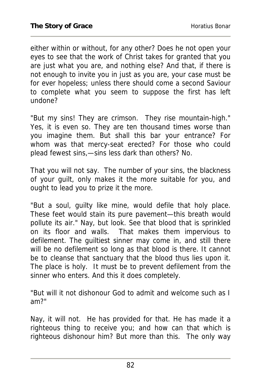either within or without, for any other? Does he not open your eyes to see that the work of Christ takes for granted that you are just what you are, and nothing else? And that, if there is not enough to invite you in just as you are, your case must be for ever hopeless; unless there should come a second Saviour to complete what you seem to suppose the first has left undone?

"But my sins! They are crimson. They rise mountain-high." Yes, it is even so. They are ten thousand times worse than you imagine them. But shall this bar your entrance? For whom was that mercy-seat erected? For those who could plead fewest sins,—sins less dark than others? No.

That you will not say. The number of your sins, the blackness of your guilt, only makes it the more suitable for you, and ought to lead you to prize it the more.

"But a soul, guilty like mine, would defile that holy place. These feet would stain its pure pavement—this breath would pollute its air." Nay, but look. See that blood that is sprinkled on its floor and walls. That makes them impervious to defilement. The guiltiest sinner may come in, and still there will be no defilement so long as that blood is there. It cannot be to cleanse that sanctuary that the blood thus lies upon it. The place is holy. It must be to prevent defilement from the sinner who enters. And this it does completely.

"But will it not dishonour God to admit and welcome such as I am?"

Nay, it will not. He has provided for that. He has made it a righteous thing to receive you; and how can that which is righteous dishonour him? But more than this. The only way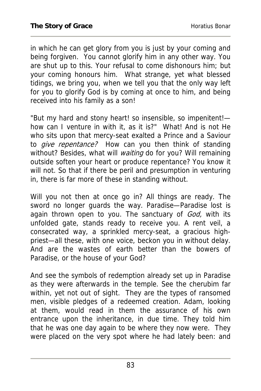in which he can get glory from you is just by your coming and being forgiven. You cannot glorify him in any other way. You are shut up to this. Your refusal to come dishonours him; but your coming honours him. What strange, yet what blessed tidings, we bring you, when we tell you that the only way left for you to glorify God is by coming at once to him, and being received into his family as a son!

"But my hard and stony heart! so insensible, so impenitent! how can I venture in with it, as it is?" What! And is not He who sits upon that mercy-seat exalted a Prince and a Saviour to *give repentance?* How can you then think of standing without? Besides, what will *waiting* do for you? Will remaining outside soften your heart or produce repentance? You know it will not. So that if there be peril and presumption in venturing in, there is far more of these in standing without.

Will you not then at once go in? All things are ready. The sword no longer guards the way. Paradise—Paradise lost is again thrown open to you. The sanctuary of God, with its unfolded gate, stands ready to receive you. A rent veil, a consecrated way, a sprinkled mercy-seat, a gracious highpriest—all these, with one voice, beckon you in without delay. And are the wastes of earth better than the bowers of Paradise, or the house of your God?

And see the symbols of redemption already set up in Paradise as they were afterwards in the temple. See the cherubim far within, yet not out of sight. They are the types of ransomed men, visible pledges of a redeemed creation. Adam, looking at them, would read in them the assurance of his own entrance upon the inheritance, in due time. They told him that he was one day again to be where they now were. They were placed on the very spot where he had lately been: and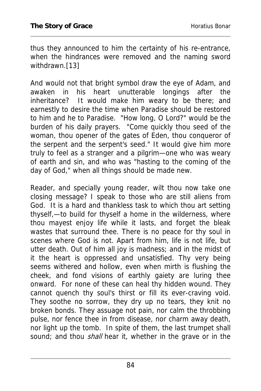thus they announced to him the certainty of his re-entrance, when the hindrances were removed and the naming sword withdrawn.[13]

And would not that bright symbol draw the eye of Adam, and awaken in his heart unutterable longings after the inheritance? It would make him weary to be there; and earnestly to desire the time when Paradise should be restored to him and he to Paradise. "How long, O Lord?" would be the burden of his daily prayers. "Come quickly thou seed of the woman, thou opener of the gates of Eden, thou conqueror of the serpent and the serpent's seed." It would give him more truly to feel as a stranger and a pilgrim—one who was weary of earth and sin, and who was "hasting to the coming of the day of God," when all things should be made new.

Reader, and specially young reader, wilt thou now take one closing message? I speak to those who are still aliens from God. It is a hard and thankless task to which thou art setting thyself,—to build for thyself a home in the wilderness, where thou mayest enjoy life while it lasts, and forget the bleak wastes that surround thee. There is no peace for thy soul in scenes where God is not. Apart from him, life is not life, but utter death. Out of him all joy is madness; and in the midst of it the heart is oppressed and unsatisfied. Thy very being seems withered and hollow, even when mirth is flushing the cheek, and fond visions of earthly gaiety are luring thee onward. For none of these can heal thy hidden wound. They cannot quench thy soul's thirst or fill its ever-craving void. They soothe no sorrow, they dry up no tears, they knit no broken bonds. They assuage not pain, nor calm the throbbing pulse, nor fence thee in from disease, nor charm away death, nor light up the tomb. In spite of them, the last trumpet shall sound; and thou *shall* hear it, whether in the grave or in the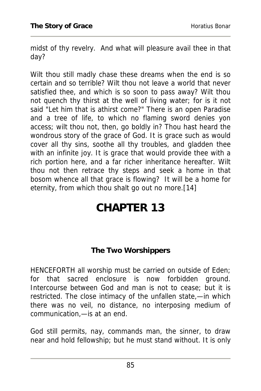midst of thy revelry. And what will pleasure avail thee in that day?

Wilt thou still madly chase these dreams when the end is so certain and so terrible? Wilt thou not leave a world that never satisfied thee, and which is so soon to pass away? Wilt thou not quench thy thirst at the well of living water; for is it not said "Let him that is athirst come?" There is an open Paradise and a tree of life, to which no flaming sword denies yon access; wilt thou not, then, go boldly in? Thou hast heard the wondrous story of the grace of God. It is grace such as would cover all thy sins, soothe all thy troubles, and gladden thee with an infinite joy. It is grace that would provide thee with a rich portion here, and a far richer inheritance hereafter. Wilt thou not then retrace thy steps and seek a home in that bosom whence all that grace is flowing? It will be a home for eternity, from which thou shalt go out no more.[14]

# **CHAPTER 13**

#### **The Two Worshippers**

HENCEFORTH all worship must be carried on outside of Eden; for that sacred enclosure is now forbidden ground. Intercourse between God and man is not to cease; but it is restricted. The close intimacy of the unfallen state,—in which there was no veil, no distance, no interposing medium of communication,—is at an end.

God still permits, nay, commands man, the sinner, to draw near and hold fellowship; but he must stand without. It is only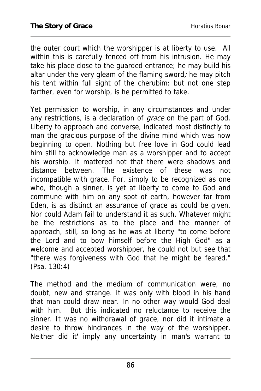the outer court which the worshipper is at liberty to use. All within this is carefully fenced off from his intrusion. He may take his place close to the guarded entrance; he may build his altar under the very gleam of the flaming sword; he may pitch his tent within full sight of the cherubim: but not one step farther, even for worship, is he permitted to take.

Yet permission to worship, in any circumstances and under any restrictions, is a declaration of *grace* on the part of God. Liberty to approach and converse, indicated most distinctly to man the gracious purpose of the divine mind which was now beginning to open. Nothing but free love in God could lead him still to acknowledge man as a worshipper and to accept his worship. It mattered not that there were shadows and distance between. The existence of these was not incompatible with grace. For, simply to be recognized as one who, though a sinner, is yet at liberty to come to God and commune with him on any spot of earth, however far from Eden, is as distinct an assurance of grace as could be given. Nor could Adam fail to understand it as such. Whatever might be the restrictions as to the place and the manner of approach, still, so long as he was at liberty "to come before the Lord and to bow himself before the High God" as a welcome and accepted worshipper, he could not but see that "there was forgiveness with God that he might be feared." (Psa. 130:4)

The method and the medium of communication were, no doubt, new and strange. It was only with blood in his hand that man could draw near. In no other way would God deal with him. But this indicated no reluctance to receive the sinner. It was no withdrawal of grace, nor did it intimate a desire to throw hindrances in the way of the worshipper. Neither did it' imply any uncertainty in man's warrant to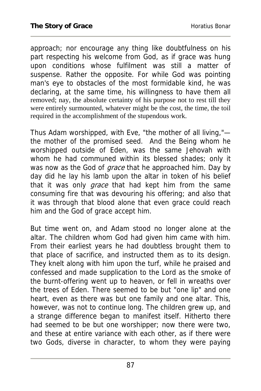approach; nor encourage any thing like doubtfulness on his part respecting his welcome from God, as if grace was hung upon conditions whose fulfilment was still a matter of suspense. Rather the opposite. For while God was pointing man's eye to obstacles of the most formidable kind, he was declaring, at the same time, his willingness to have them all removed; nay, the absolute certainty of his purpose not to rest till they were entirely surmounted, whatever might be the cost, the time, the toil required in the accomplishment of the stupendous work.

Thus Adam worshipped, with Eve, "the mother of all living," the mother of the promised seed. And the Being whom he worshipped outside of Eden, was the same Jehovah with whom he had communed within its blessed shades; only it was now as the God of grace that he approached him. Day by day did he lay his lamb upon the altar in token of his belief that it was only grace that had kept him from the same consuming fire that was devouring his offering; and also that it was through that blood alone that even grace could reach him and the God of grace accept him.

But time went on, and Adam stood no longer alone at the altar. The children whom God had given him came with him. From their earliest years he had doubtless brought them to that place of sacrifice, and instructed them as to its design. They knelt along with him upon the turf, while he praised and confessed and made supplication to the Lord as the smoke of the burnt-offering went up to heaven, or fell in wreaths over the trees of Eden. There seemed to be but "one lip" and one heart, even as there was but one family and one altar. This, however, was not to continue long. The children grew up, and a strange difference began to manifest itself. Hitherto there had seemed to be but one worshipper; now there were two, and these at entire variance with each other, as if there were two Gods, diverse in character, to whom they were paying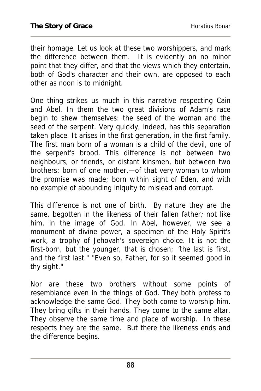their homage. Let us look at these two worshippers, and mark the difference between them. It is evidently on no minor point that they differ, and that the views which they entertain, both of God's character and their own, are opposed to each other as noon is to midnight.

One thing strikes us much in this narrative respecting Cain and Abel. In them the two great divisions of Adam's race begin to shew themselves: the seed of the woman and the seed of the serpent. Very quickly, indeed, has this separation taken place. It arises in the first generation, in the first family. The first man born of a woman is a child of the devil, one of the serpent's brood. This difference is not between two neighbours, or friends, or distant kinsmen, but between two brothers: born of one mother,—of that very woman to whom the promise was made; born within sight of Eden, and with no example of abounding iniquity to mislead and corrupt.

This difference is not one of birth. By nature they are the same, begotten in the likeness of their fallen father; not like him, in the image of God. In Abel, however, we see a monument of divine power, a specimen of the Holy Spirit's work, a trophy of Jehovah's sovereign choice. It is not the first-born, but the younger, that is chosen; 'the last is first, and the first last." "Even so, Father, for so it seemed good in thy sight."

Nor are these two brothers without some points of resemblance even in the things of God. They both profess to acknowledge the same God. They both come to worship him. They bring gifts in their hands. They come to the same altar. They observe the same time and place of worship. In these respects they are the same. But there the likeness ends and the difference begins.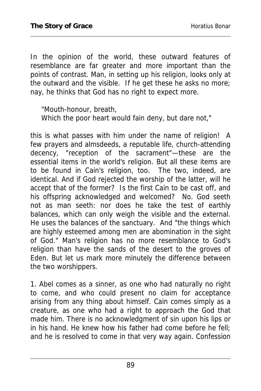In the opinion of the world, these outward features of resemblance are far greater and more important than the points of contrast. Man, in setting up his religion, looks only at the outward and the visible. If he get these he asks no more; nay, he thinks that God has no right to expect more.

"Mouth-honour, breath, Which the poor heart would fain deny, but dare not,"

this is what passes with him under the name of religion! A few prayers and almsdeeds, a reputable life, church-attending decency, "reception of the sacrament"—these are the essential items in the world's religion. But all these items are to be found in Cain's religion, too. The two, indeed, are identical. And if God rejected the worship of the latter, will he accept that of the former? Is the first Cain to be cast off, and his offspring acknowledged and welcomed? No. God seeth not as man seeth: nor does he take the test of earthly balances, which can only weigh the visible and the external. He uses the balances of the sanctuary. And "the things which are highly esteemed among men are abomination in the sight of God." Man's religion has no more resemblance to God's religion than have the sands of the desert to the groves of Eden. But let us mark more minutely the difference between the two worshippers.

1. Abel comes as a sinner, as one who had naturally no right to come, and who could present no claim for acceptance arising from any thing about himself. Cain comes simply as a creature, as one who had a right to approach the God that made him. There is no acknowledgment of sin upon his lips or in his hand. He knew how his father had come before he fell; and he is resolved to come in that very way again. Confession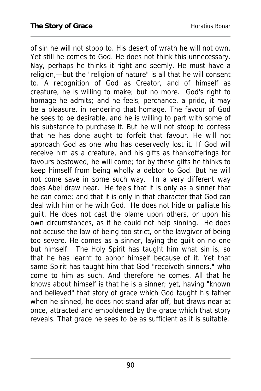of sin he will not stoop to. His desert of wrath he will not own. Yet still he comes to God. He does not think this unnecessary. Nay, perhaps he thinks it right and seemly. He must have a religion,—but the "religion of nature" is all that he will consent to. A recognition of God as Creator, and of himself as creature, he is willing to make; but no more. God's right to homage he admits; and he feels, perchance, a pride, it may be a pleasure, in rendering that homage. The favour of God he sees to be desirable, and he is willing to part with some of his substance to purchase it. But he will not stoop to confess that he has done aught to forfeit that favour. He will not approach God as one who has deservedly lost it. If God will receive him as a creature, and his gifts as thankofferings for favours bestowed, he will come; for by these gifts he thinks to keep himself from being wholly a debtor to God. But he will not come save in some such way. In a very different way does Abel draw near. He feels that it is only as a sinner that he can come; and that it is only in that character that God can deal with him or he with God. He does not hide or palliate his guilt. He does not cast the blame upon others, or upon his own circumstances, as if he could not help sinning. He does not accuse the law of being too strict, or the lawgiver of being too severe. He comes as a sinner, laying the guilt on no one but himself. The Holy Spirit has taught him what sin is, so that he has learnt to abhor himself because of it. Yet that same Spirit has taught him that God "receiveth sinners," who come to him as such. And therefore he comes. All that he knows about himself is that he is a sinner; yet, having "known and believed" that story of grace which God taught his father when he sinned, he does not stand afar off, but draws near at once, attracted and emboldened by the grace which that story reveals. That grace he sees to be as sufficient as it is suitable.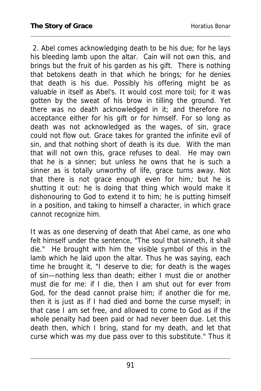2. Abel comes acknowledging death to be his due; for he lays his bleeding lamb upon the altar. Cain will not own this, and brings but the fruit of his garden as his gift. There is nothing that betokens death in that which he brings; for he denies that death is his due. Possibly his offering might be as valuable in itself as Abel's. It would cost more toil; for it was gotten by the sweat of his brow in tilling the ground. Yet there was no death acknowledged in it; and therefore no acceptance either for his gift or for himself. For so long as death was not acknowledged as the wages, of sin, grace could not flow out. Grace takes for granted the infinite evil of sin, and that nothing short of death is its due. With the man that will not own this, grace refuses to deal. He may own that he is a sinner; but unless he owns that he is such a sinner as is totally unworthy of life, grace turns away. Not that there is not grace enough even for him; but he is shutting it out: he is doing that thing which would make it dishonouring to God to extend it to him; he is putting himself in a position, and taking to himself a character, in which grace cannot recognize him.

It was as one deserving of death that Abel came, as one who felt himself under the sentence, "The soul that sinneth, it shall die." He brought with him the visible symbol of this in the lamb which he laid upon the altar. Thus he was saying, each time he brought it, "I deserve to die; for death is the wages of sin—nothing less than death; either I must die or another must die for me: if I die, then I am shut out for ever from God, for the dead cannot praise him; if another die for me, then it is just as if I had died and borne the curse myself; in that case I am set free, and allowed to come to God as if the whole penalty had been paid or had never been due. Let this death then, which I bring, stand for my death, and let that curse which was my due pass over to this substitute." Thus it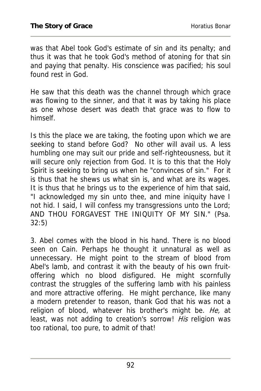was that Abel took God's estimate of sin and its penalty; and thus it was that he took God's method of atoning for that sin and paying that penalty. His conscience was pacified; his soul found rest in God.

He saw that this death was the channel through which grace was flowing to the sinner, and that it was by taking his place as one whose desert was death that grace was to flow to himself.

Is this the place we are taking, the footing upon which we are seeking to stand before God? No other will avail us. A less humbling one may suit our pride and self-righteousness, but it will secure only rejection from God. It is to this that the Holy Spirit is seeking to bring us when he "convinces of sin." For it is thus that he shews us what sin is, and what are its wages. It is thus that he brings us to the experience of him that said, "I acknowledged my sin unto thee, and mine iniquity have I not hid. I said, I will confess my transgressions unto the Lord; AND THOU FORGAVEST THE INIQUITY OF MY SIN." (Psa. 32:5)

3. Abel comes with the blood in his hand. There is no blood seen on Cain. Perhaps he thought it unnatural as well as unnecessary. He might point to the stream of blood from Abel's lamb, and contrast it with the beauty of his own fruitoffering which no blood disfigured. He might scornfully contrast the struggles of the suffering lamb with his painless and more attractive offering. He might perchance, like many a modern pretender to reason, thank God that his was not a religion of blood, whatever his brother's might be. He, at least, was not adding to creation's sorrow! His religion was too rational, too pure, to admit of that!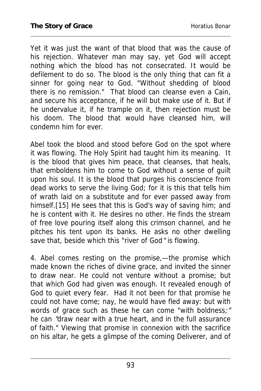Yet it was just the want of that blood that was the cause of his rejection. Whatever man may say, yet God will accept nothing which the blood has not consecrated. It would be defilement to do so. The blood is the only thing that can fit a sinner for going near to God. "Without shedding of blood there is no remission." That blood can cleanse even a Cain, and secure his acceptance, if he will but make use of it. But if he undervalue it, if he trample on it, then rejection must be his doom. The blood that would have cleansed him, will condemn him for ever.

Abel took the blood and stood before God on the spot where it was flowing. The Holy Spirit had taught him its meaning. It is the blood that gives him peace, that cleanses, that heals, that emboldens him to come to God without a sense of guilt upon his soul. It is the blood that purges his conscience from dead works to serve the living God; for it is this that tells him of wrath laid on a substitute and for ever passed away from himself.[15] He sees that this is God's way of saving him; and he is content with it. He desires no other. He finds the stream of free love pouring itself along this crimson channel, and he pitches his tent upon its banks. He asks no other dwelling save that, beside which this "river of God" is flowing.

4. Abel comes resting on the promise,—the promise which made known the riches of divine grace, and invited the sinner to draw near. He could not venture without a promise; but that which God had given was enough. It revealed enough of God to quiet every fear. Had it not been for that promise he could not have come; nay, he would have fled away: but with words of grace such as these he can come "with boldness;" he can "draw near with a true heart, and in the full assurance of faith." Viewing that promise in connexion with the sacrifice on his altar, he gets a glimpse of the coming Deliverer, and of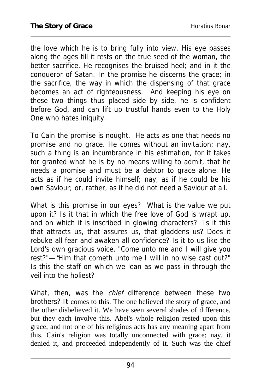the love which he is to bring fully into view. His eye passes along the ages till it rests on the true seed of the woman, the better sacrifice. He recognises the bruised heel; and in it the conqueror of Satan. In the promise he discerns the grace; in the sacrifice, the way in which the dispensing of that grace becomes an act of righteousness. And keeping his eye on these two things thus placed side by side, he is confident before God, and can lift up trustful hands even to the Holy One who hates iniquity.

To Cain the promise is nought. He acts as one that needs no promise and no grace. He comes without an invitation; nay, such a thing is an incumbrance in his estimation, for it takes for granted what he is by no means willing to admit, that he needs a promise and must be a debtor to grace alone. He acts as if he could invite himself; nay, as if he could be his own Saviour; or, rather, as if he did not need a Saviour at all.

What is this promise in our eyes? What is the value we put upon it? Is it that in which the free love of God is wrapt up, and on which it is inscribed in glowing characters? Is it this that attracts us, that assures us, that gladdens us? Does it rebuke all fear and awaken all confidence? Is it to us like the Lord's own gracious voice, "Come unto me and I will give you rest?"—"Him that cometh unto me I will in no wise cast out?" Is this the staff on which we lean as we pass in through the veil into the holiest?

What, then, was the *chief* difference between these two brothers? It comes to this. The one believed the story of grace, and the other disbelieved it. We have seen several shades of difference, but they each involve this. Abel's whole religion rested upon this grace, and not one of his religious acts has any meaning apart from this. Cain's religion was totally unconnected with grace; nay, it denied it, and proceeded independently of it. Such was the chief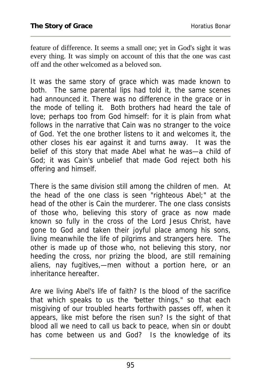feature of difference. It seems a small one; yet in God's sight it was every thing. It was simply on account of this that the one was cast off and the other welcomed as a beloved son.

It was the same story of grace which was made known to both. The same parental lips had told it, the same scenes had announced it. There was no difference in the grace or in the mode of telling it. Both brothers had heard the tale of love; perhaps too from God himself: for it is plain from what follows in the narrative that Cain was no stranger to the voice of God. Yet the one brother listens to it and welcomes it, the other closes his ear against it and turns away. It was the belief of this story that made Abel what he was—a child of God; it was Cain's unbelief that made God reject both his offering and himself.

There is the same division still among the children of men. At the head of the one class is seen "righteous Abel;" at the head of the other is Cain the murderer. The one class consists of those who, believing this story of grace as now made known so fully in the cross of the Lord Jesus Christ, have gone to God and taken their joyful place among his sons, living meanwhile the life of pilgrims and strangers here. The other is made up of those who, not believing this story, nor heeding the cross, nor prizing the blood, are still remaining aliens, nay fugitives,—men without a portion here, or an inheritance hereafter.

Are we living Abel's life of faith? Is the blood of the sacrifice that which speaks to us the "better things," so that each misgiving of our troubled hearts forthwith passes off, when it appears, like mist before the risen sun? Is the sight of that blood all we need to call us back to peace, when sin or doubt has come between us and God? Is the knowledge of its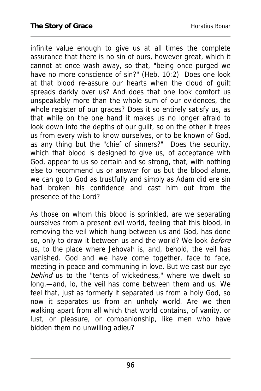infinite value enough to give us at all times the complete assurance that there is no sin of ours, however great, which it cannot at once wash away, so that, "being once purged we have no more conscience of sin?" (Heb. 10:2) Does one look at that blood re-assure our hearts when the cloud of guilt spreads darkly over us? And does that one look comfort us unspeakably more than the whole sum of our evidences, the whole register of our graces? Does it so entirely satisfy us, as that while on the one hand it makes us no longer afraid to look down into the depths of our guilt, so on the other it frees us from every wish to know ourselves, or to be known of God, as any thing but the "chief of sinners?" Does the security, which that blood is designed to give us, of acceptance with God, appear to us so certain and so strong, that, with nothing else to recommend us or answer for us but the blood alone, we can go to God as trustfully and simply as Adam did ere sin had broken his confidence and cast him out from the presence of the Lord?

As those on whom this blood is sprinkled, are we separating ourselves from a present evil world, feeling that this blood, in removing the veil which hung between us and God, has done so, only to draw it between us and the world? We look before us, to the place where Jehovah is, and, behold, the veil has vanished. God and we have come together, face to face, meeting in peace and communing in love. But we cast our eye behind us to the "tents of wickedness," where we dwelt so long,—and, lo, the veil has come between them and us. We feel that, just as formerly it separated us from a holy God, so now it separates us from an unholy world. Are we then walking apart from all which that world contains, of vanity, or lust, or pleasure, or companionship, like men who have bidden them no unwilling adieu?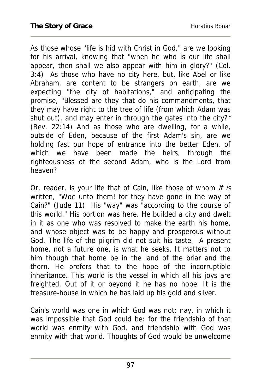As those whose 'life is hid with Christ in God," are we looking for his arrival, knowing that "when he who is our life shall appear, then shall we also appear with him in glory?" (Col. 3:4) As those who have no city here, but, like Abel or like Abraham, are content to be strangers on earth, are we expecting "the city of habitations," and anticipating the promise, "Blessed are they that do his commandments, that they may have right to the tree of life (from which Adam was shut out), and may enter in through the gates into the city?" (Rev. 22:14) And as those who are dwelling, for a while, outside of Eden, because of the first Adam's sin, are we holding fast our hope of entrance into the better Eden, of which we have been made the heirs, through the righteousness of the second Adam, who is the Lord from heaven?

Or, reader, is your life that of Cain, like those of whom it is written, "Woe unto them! for they have gone in the way of Cain?" (Jude 11) His "way" was "according to the course of this world." His portion was here. He builded a city and dwelt in it as one who was resolved to make the earth his home, and whose object was to be happy and prosperous without God. The life of the pilgrim did not suit his taste. A present home, not a future one, is what he seeks. It matters not to him though that home be in the land of the briar and the thorn. He prefers that to the hope of the incorruptible inheritance. This world is the vessel in which all his joys are freighted. Out of it or beyond it he has no hope. It is the treasure-house in which he has laid up his gold and silver.

Cain's world was one in which God was not; nay, in which it was impossible that God could be: for the friendship of that world was enmity with God, and friendship with God was enmity with that world. Thoughts of God would be unwelcome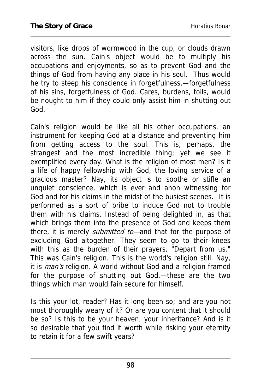visitors, like drops of wormwood in the cup, or clouds drawn across the sun. Cain's object would be to multiply his occupations and enjoyments, so as to prevent God and the things of God from having any place in his soul. Thus would he try to steep his conscience in forgetfulness,—forgetfulness of his sins, forgetfulness of God. Cares, burdens, toils, would be nought to him if they could only assist him in shutting out God.

Cain's religion would be like all his other occupations, an instrument for keeping God at a distance and preventing him from getting access to the soul. This is, perhaps, the strangest and the most incredible thing; yet we see it exemplified every day. What is the religion of most men? Is it a life of happy fellowship with God, the loving service of a gracious master? Nay, its object is to soothe or stifle an unquiet conscience, which is ever and anon witnessing for God and for his claims in the midst of the busiest scenes. It is performed as a sort of bribe to induce God not to trouble them with his claims. Instead of being delighted in, as that which brings them into the presence of God and keeps them there, it is merely *submitted to*—and that for the purpose of excluding God altogether. They seem to go to their knees with this as the burden of their prayers, "Depart from us." This was Cain's religion. This is the world's religion still. Nay, it is *man's* religion. A world without God and a religion framed for the purpose of shutting out God,—these are the two things which man would fain secure for himself.

Is this your lot, reader? Has it long been so; and are you not most thoroughly weary of it? Or are you content that it should be so? Is this to be your heaven, your inheritance? And is it so desirable that you find it worth while risking your eternity to retain it for a few swift years?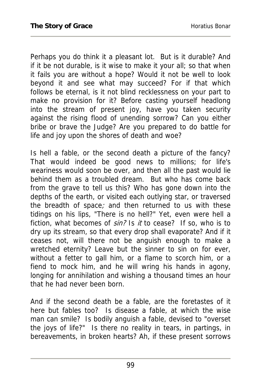Perhaps you do think it a pleasant lot. But is it durable? And if it be not durable, is it wise to make it your all; so that when it fails you are without a hope? Would it not be well to look beyond it and see what may succeed? For if that which follows be eternal, is it not blind recklessness on your part to make no provision for it? Before casting yourself headlong into the stream of present joy, have you taken security against the rising flood of unending sorrow? Can you either bribe or brave the Judge? Are you prepared to do battle for life and joy upon the shores of death and woe?

Is hell a fable, or the second death a picture of the fancy? That would indeed be good news to millions; for life's weariness would soon be over, and then all the past would lie behind them as a troubled dream. But who has come back from the grave to tell us this? Who has gone down into the depths of the earth, or visited each outlying star, or traversed the breadth of space; and then returned to us with these tidings on his lips, "There is no hell?" Yet, even were hell a fiction, what becomes of sin? Is it to cease? If so, who is to dry up its stream, so that every drop shall evaporate? And if it ceases not, will there not be anguish enough to make a wretched eternity? Leave but the sinner to sin on for ever, without a fetter to gall him, or a flame to scorch him, or a fiend to mock him, and he will wring his hands in agony, longing for annihilation and wishing a thousand times an hour that he had never been born.

And if the second death be a fable, are the foretastes of it here but fables too? Is disease a fable, at which the wise man can smile? Is bodily anguish a fable, devised to "overset the joys of life?" Is there no reality in tears, in partings, in bereavements, in broken hearts? Ah, if these present sorrows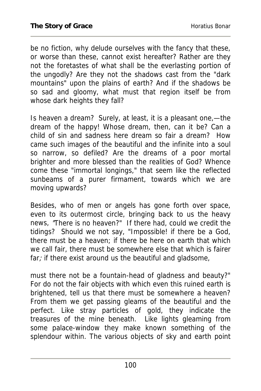be no fiction, why delude ourselves with the fancy that these, or worse than these, cannot exist hereafter? Rather are they not the foretastes of what shall be the everlasting portion of the ungodly? Are they not the shadows cast from the "dark mountains" upon the plains of earth? And if the shadows be so sad and gloomy, what must that region itself be from whose dark heights they fall?

Is heaven a dream? Surely, at least, it is a pleasant one,—the dream of the happy! Whose dream, then, can it be? Can a child of sin and sadness here dream so fair a dream? How came such images of the beautiful and the infinite into a soul so narrow, so defiled? Are the dreams of a poor mortal brighter and more blessed than the realities of God? Whence come these "immortal longings," that seem like the reflected sunbeams of a purer firmament, towards which we are moving upwards?

Besides, who of men or angels has gone forth over space, even to its outermost circle, bringing back to us the heavy news, "There is no heaven?" If there had, could we credit the tidings? Should we not say, "Impossible! if there be a God, there must be a heaven; if there be here on earth that which we call fair, there must be somewhere else that which is fairer far; if there exist around us the beautiful and gladsome,

must there not be a fountain-head of gladness and beauty?" For do not the fair objects with which even this ruined earth is brightened, tell us that there must be somewhere a heaven? From them we get passing gleams of the beautiful and the perfect. Like stray particles of gold, they indicate the treasures of the mine beneath. Like lights gleaming from some palace-window they make known something of the splendour within. The various objects of sky and earth point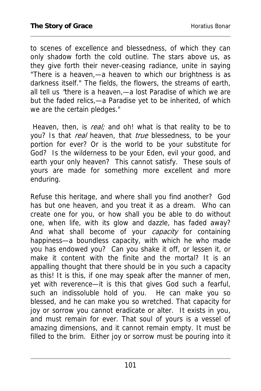to scenes of excellence and blessedness, of which they can only shadow forth the cold outline. The stars above us, as they give forth their never-ceasing radiance, unite in saying "There is a heaven,—a heaven to which our brightness is as darkness itself." The fields, the flowers, the streams of earth, all tell us "there is a heaven,—a lost Paradise of which we are but the faded relics,—a Paradise yet to be inherited, of which we are the certain pledges."

Heaven, then, is real; and oh! what is that reality to be to you? Is that *real* heaven, that *true* blessedness, to be your portion for ever? Or is the world to be your substitute for God? Is the wilderness to be your Eden, evil your good, and earth your only heaven? This cannot satisfy. These souls of yours are made for something more excellent and more enduring.

Refuse this heritage, and where shall you find another? God has but one heaven, and you treat it as a dream. Who can create one for you, or how shall you be able to do without one, when life, with its glow and dazzle, has faded away? And what shall become of your *capacity* for containing happiness—a boundless capacity, with which he who made you has endowed you? Can you shake it off, or lessen it, or make it content with the finite and the mortal? It is an appalling thought that there should be in you such a capacity as this! It is this, if one may speak after the manner of men, yet with reverence—it is this that gives God such a fearful, such an indissoluble hold of you. He can make you so blessed, and he can make you so wretched. That capacity for joy or sorrow you cannot eradicate or alter. It exists in you, and must remain for ever. That soul of yours is a vessel of amazing dimensions, and it cannot remain empty. It must be filled to the brim. Either joy or sorrow must be pouring into it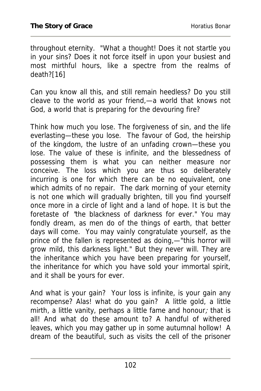throughout eternity. "What a thought! Does it not startle you in your sins? Does it not force itself in upon your busiest and most mirthful hours, like a spectre from the realms of death?[16]

Can you know all this, and still remain heedless? Do you still cleave to the world as your friend,—a world that knows not God, a world that is preparing for the devouring fire?

Think how much you lose. The forgiveness of sin, and the life everlasting—these you lose. The favour of God, the heirship of the kingdom, the lustre of an unfading crown—these you lose. The value of these is infinite, and the blessedness of possessing them is what you can neither measure nor conceive. The loss which you are thus so deliberately incurring is one for which there can be no equivalent, one which admits of no repair. The dark morning of your eternity is not one which will gradually brighten, till you find yourself once more in a circle of light and a land of hope. It is but the foretaste of "the blackness of darkness for ever." You may fondly dream, as men do of the things of earth, that better days will come. You may vainly congratulate yourself, as the prince of the fallen is represented as doing,—"this horror will grow mild, this darkness light." But they never will. They are the inheritance which you have been preparing for yourself, the inheritance for which you have sold your immortal spirit, and it shall be yours for ever.

And what is your gain? Your loss is infinite, is your gain any recompense? Alas! what do you gain? A little gold, a little mirth, a little vanity, perhaps a little fame and honour; that is all! And what do these amount to? A handful of withered leaves, which you may gather up in some autumnal hollow! A dream of the beautiful, such as visits the cell of the prisoner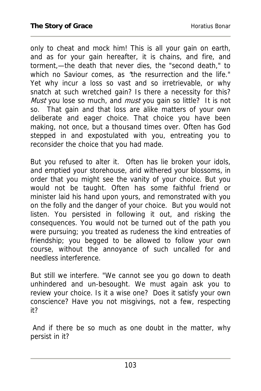only to cheat and mock him! This is all your gain on earth, and as for your gain hereafter, it is chains, and fire, and torment,—the death that never dies, the "second death," to which no Saviour comes, as "the resurrection and the life." Yet why incur a loss so vast and so irretrievable, or why snatch at such wretched gain? Is there a necessity for this? Must you lose so much, and *must* you gain so little? It is not so. That gain and that loss are alike matters of your own deliberate and eager choice. That choice you have been making, not once, but a thousand times over. Often has God stepped in and expostulated with you, entreating you to reconsider the choice that you had made.

But you refused to alter it. Often has lie broken your idols, and emptied your storehouse, arid withered your blossoms, in order that you might see the vanity of your choice. But you would not be taught. Often has some faithful friend or minister laid his hand upon yours, and remonstrated with you on the folly and the danger of your choice. But you would not listen. You persisted in following it out, and risking the consequences. You would not be turned out of the path you were pursuing; you treated as rudeness the kind entreaties of friendship; you begged to be allowed to follow your own course, without the annoyance of such uncalled for and needless interference.

But still we interfere. "We cannot see you go down to death unhindered and un-besought. We must again ask you to review your choice. Is it a wise one? Does it satisfy your own conscience? Have you not misgivings, not a few, respecting it?

 And if there be so much as one doubt in the matter, why persist in it?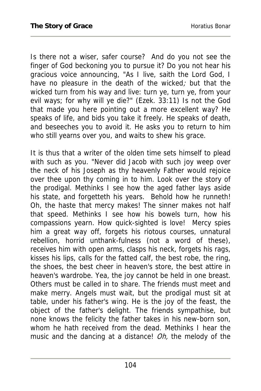Is there not a wiser, safer course? And do you not see the finger of God beckoning you to pursue it? Do you not hear his gracious voice announcing, "As I live, saith the Lord God, I have no pleasure in the death of the wicked; but that the wicked turn from his way and live: turn ye, turn ye, from your evil ways; for why will ye die?" (Ezek. 33:11) Is not the God that made you here pointing out a more excellent way? He speaks of life, and bids you take it freely. He speaks of death, and beseeches you to avoid it. He asks you to return to him who still yearns over you, and waits to shew his grace.

It is thus that a writer of the olden time sets himself to plead with such as you. "Never did Jacob with such joy weep over the neck of his Joseph as thy heavenly Father would rejoice over thee upon thy coming in to him. Look over the story of the prodigal. Methinks I see how the aged father lays aside his state, and forgetteth his years. Behold how he runneth! Oh, the haste that mercy makes! The sinner makes not half that speed. Methinks I see how his bowels turn, how his compassions yearn. How quick-sighted is love! Mercy spies him a great way off, forgets his riotous courses, unnatural rebellion, horrid unthank-fulness (not a word of these), receives him with open arms, clasps his neck, forgets his rags, kisses his lips, calls for the fatted calf, the best robe, the ring, the shoes, the best cheer in heaven's store, the best attire in heaven's wardrobe. Yea, the joy cannot be held in one breast. Others must be called in to share. The friends must meet and make merry. Angels must wait, but the prodigal must sit at table, under his father's wing. He is the joy of the feast, the object of the father's delight. The friends sympathise, but none knows the felicity the father takes in his new-born son, whom he hath received from the dead. Methinks I hear the music and the dancing at a distance! *Oh*, the melody of the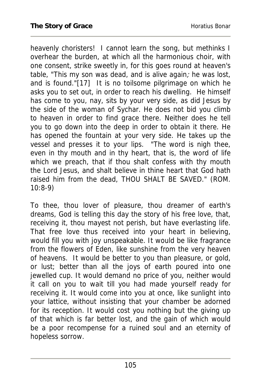heavenly choristers! I cannot learn the song, but methinks I overhear the burden, at which all the harmonious choir, with one consent, strike sweetly in, for this goes round at heaven's table, "This my son was dead, and is alive again; he was lost, and is found."[17] It is no toilsome pilgrimage on which he asks you to set out, in order to reach his dwelling. He himself has come to you, nay, sits by your very side, as did Jesus by the side of the woman of Sychar. He does not bid you climb to heaven in order to find grace there. Neither does he tell you to go down into the deep in order to obtain it there. He has opened the fountain at your very side. He takes up the vessel and presses it to your lips. "The word is nigh thee, even in thy mouth and in thy heart, that is, the word of life which we preach, that if thou shalt confess with thy mouth the Lord Jesus, and shalt believe in thine heart that God hath raised him from the dead, THOU SHALT BE SAVED." (ROM. 10:8-9)

To thee, thou lover of pleasure, thou dreamer of earth's dreams, God is telling this day the story of his free love, that, receiving it, thou mayest not perish, but have everlasting life. That free love thus received into your heart in believing, would fill you with joy unspeakable. It would be like fragrance from the flowers of Eden, like sunshine from the very heaven of heavens. It would be better to you than pleasure, or gold, or lust; better than all the joys of earth poured into one jewelled cup. It would demand no price of you, neither would it call on you to wait till you had made yourself ready for receiving it. It would come into you at once, like sunlight into your lattice, without insisting that your chamber be adorned for its reception. It would cost you nothing but the giving up of that which is far better lost, and the gain of which would be a poor recompense for a ruined soul and an eternity of hopeless sorrow.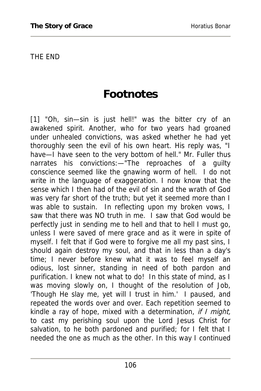THE END

### **Footnotes**

[1] "Oh, sin—sin is just hell!" was the bitter cry of an awakened spirit. Another, who for two years had groaned under unhealed convictions, was asked whether he had yet thoroughly seen the evil of his own heart. His reply was, "I have—I have seen to the very bottom of hell." Mr. Fuller thus narrates his convictions:—"The reproaches of a guilty conscience seemed like the gnawing worm of hell. I do not write in the language of exaggeration. I now know that the sense which I then had of the evil of sin and the wrath of God was very far short of the truth; but yet it seemed more than I was able to sustain. In reflecting upon my broken vows, I saw that there was NO truth in me. I saw that God would be perfectly just in sending me to hell and that to hell I must go, unless I were saved of mere grace and as it were in spite of myself. I felt that if God were to forgive me all my past sins, I should again destroy my soul, and that in less than a day's time; I never before knew what it was to feel myself an odious, lost sinner, standing in need of both pardon and purification. I knew not what to do! In this state of mind, as I was moving slowly on, I thought of the resolution of Job, 'Though He slay me, yet will I trust in him.' I paused, and repeated the words over and over. Each repetition seemed to kindle a ray of hope, mixed with a determination, if I might, to cast my perishing soul upon the Lord Jesus Christ for salvation, to he both pardoned and purified; for I felt that I needed the one as much as the other. In this way I continued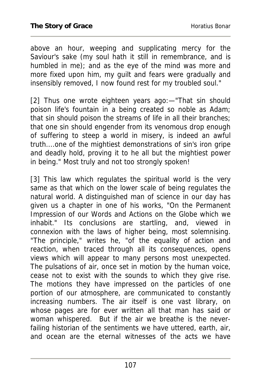above an hour, weeping and supplicating mercy for the Saviour's sake (my soul hath it still in remembrance, and is humbled in me); and as the eye of the mind was more and more fixed upon him, my guilt and fears were gradually and insensibly removed, I now found rest for my troubled soul."

[2] Thus one wrote eighteen years ago:—"That sin should poison life's fountain in a being created so noble as Adam; that sin should poison the streams of life in all their branches; that one sin should engender from its venomous drop enough of suffering to steep a world in misery, is indeed an awful truth....one of the mightiest demonstrations of sin's iron gripe and deadly hold, proving it to he all but the mightiest power in being." Most truly and not too strongly spoken!

[3] This law which regulates the spiritual world is the very same as that which on the lower scale of being regulates the natural world. A distinguished man of science in our day has given us a chapter in one of his works, "On the Permanent Impression of our Words and Actions on the Globe which we inhabit." Its conclusions are startling, and, viewed in connexion with the laws of higher being, most solemnising. "The principle," writes he, "of the equality of action and reaction, when traced through all its consequences, opens views which will appear to many persons most unexpected. The pulsations of air, once set in motion by the human voice, cease not to exist with the sounds to which they give rise. The motions they have impressed on the particles of one portion of our atmosphere, are communicated to constantly increasing numbers. The air itself is one vast library, on whose pages are for ever written all that man has said or woman whispered. But if the air we breathe is the neverfailing historian of the sentiments we have uttered, earth, air, and ocean are the eternal witnesses of the acts we have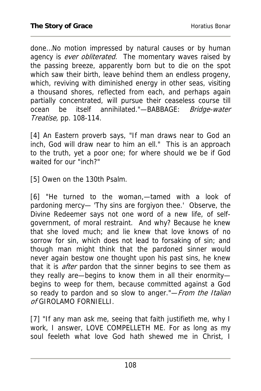done…No motion impressed by natural causes or by human agency is *ever obliterated*. The momentary waves raised by the passing breeze, apparently born but to die on the spot which saw their birth, leave behind them an endless progeny, which, reviving with diminished energy in other seas, visiting a thousand shores, reflected from each, and perhaps again partially concentrated, will pursue their ceaseless course till ocean be itself annihilated."-BABBAGE: Bridge-water Treatise, pp. 108-114.

[4] An Eastern proverb says, "If man draws near to God an inch, God will draw near to him an ell." This is an approach to the truth, yet a poor one; for where should we be if God waited for our "inch?"

[5] Owen on the 130th Psalm.

[6] "He turned to the woman,—tamed with a look of pardoning mercy— 'Thy sins are forgiyon thee.' Observe, the Divine Redeemer says not one word of a new life, of selfgovernment, of moral restraint. And why? Because he knew that she loved much; and lie knew that love knows of no sorrow for sin, which does not lead to forsaking of sin; and though man might think that the pardoned sinner would never again bestow one thought upon his past sins, he knew that it is *after* pardon that the sinner begins to see them as they really are—begins to know them in all their enormity begins to weep for them, because committed against a God so ready to pardon and so slow to anger."-*From the Italian* of GIROLAMO FORNIELLI.

[7] "If any man ask me, seeing that faith justifieth me, why I work, I answer, LOVE COMPELLETH ME. For as long as my soul feeleth what love God hath shewed me in Christ, I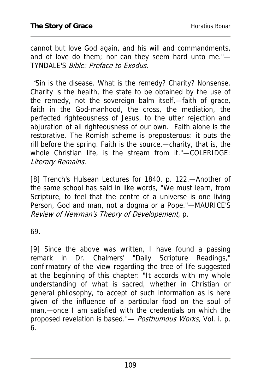cannot but love God again, and his will and commandments, and of love do them; nor can they seem hard unto me."— TYNDALE'S Bible: Preface to Exodus.

 "Sin is the disease. What is the remedy? Charity? Nonsense. Charity is the health, the state to be obtained by the use of the remedy, not the sovereign balm itself,—faith of grace, faith in the God-manhood, the cross, the mediation, the perfected righteousness of Jesus, to the utter rejection and abjuration of all righteousness of our own. Faith alone is the restorative. The Romish scheme is preposterous: it puts the rill before the spring. Faith is the source,—charity, that is, the whole Christian life, is the stream from it."—COLERIDGE: Literary Remains.

[8] Trench's Hulsean Lectures for 1840, p. 122.—Another of the same school has said in like words, "We must learn, from Scripture, to feel that the centre of a universe is one living Person, God and man, not a dogma or a Pope."—MAURICE'S Review of Newman's Theory of Developement, p.

69.

[9] Since the above was written, I have found a passing remark in Dr. Chalmers' "Daily Scripture Readings," confirmatory of the view regarding the tree of life suggested at the beginning of this chapter: "It accords with my whole understanding of what is sacred, whether in Christian or general philosophy, to accept of such information as is here given of the influence of a particular food on the soul of man,—once I am satisfied with the credentials on which the proposed revelation is based."— Posthumous Works, Vol. i. p. 6.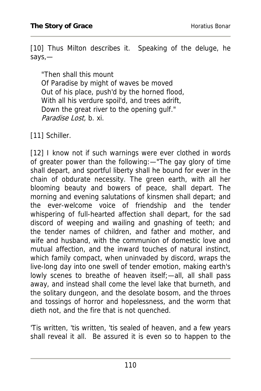[10] Thus Milton describes it. Speaking of the deluge, he says,—

"Then shall this mount Of Paradise by might of waves be moved Out of his place, push'd by the horned flood, With all his verdure spoil'd, and trees adrift, Down the great river to the opening gulf." Paradise Lost, b. xi.

[11] Schiller.

[12] I know not if such warnings were ever clothed in words of greater power than the following:—"The gay glory of time shall depart, and sportful liberty shall he bound for ever in the chain of obdurate necessity. The green earth, with all her blooming beauty and bowers of peace, shall depart. The morning and evening salutations of kinsmen shall depart; and the ever-welcome voice of friendship and the tender whispering of full-hearted affection shall depart, for the sad discord of weeping and wailing and gnashing of teeth; and the tender names of children, and father and mother, and wife and husband, with the communion of domestic love and mutual affection, and the inward touches of natural instinct, which family compact, when uninvaded by discord, wraps the live-long day into one swell of tender emotion, making earth's lowly scenes to breathe of heaven itself;—all, all shall pass away, and instead shall come the level lake that burneth, and the solitary dungeon, and the desolate bosom, and the throes and tossings of horror and hopelessness, and the worm that dieth not, and the fire that is not quenched.

'Tis written, 'tis written, 'tis sealed of heaven, and a few years shall reveal it all. Be assured it is even so to happen to the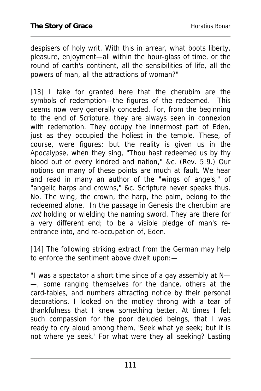despisers of holy writ. With this in arrear, what boots liberty, pleasure, enjoyment—all within the hour-glass of time, or the round of earth's continent, all the sensibilities of life, all the powers of man, all the attractions of woman?"

[13] I take for granted here that the cherubim are the symbols of redemption—the figures of the redeemed. This seems now very generally conceded. For, from the beginning to the end of Scripture, they are always seen in connexion with redemption. They occupy the innermost part of Eden, just as they occupied the holiest in the temple. These, of course, were figures; but the reality is given us in the Apocalypse, when they sing, "Thou hast redeemed us by thy blood out of every kindred and nation," &c. (Rev. 5:9.) Our notions on many of these points are much at fault. We hear and read in many an author of the "wings of angels," of "angelic harps and crowns," &c. Scripture never speaks thus. No. The wing, the crown, the harp, the palm, belong to the redeemed alone. In the passage in Genesis the cherubim are not holding or wielding the naming sword. They are there for a very different end; to be a visible pledge of man's reentrance into, and re-occupation of, Eden.

[14] The following striking extract from the German may help to enforce the sentiment above dwelt upon:—

"I was a spectator a short time since of a gay assembly at N— —, some ranging themselves for the dance, others at the card-tables, and numbers attracting notice by their personal decorations. I looked on the motley throng with a tear of thankfulness that I knew something better. At times I felt such compassion for the poor deluded beings, that I was ready to cry aloud among them, 'Seek what ye seek; but it is not where ye seek.' For what were they all seeking? Lasting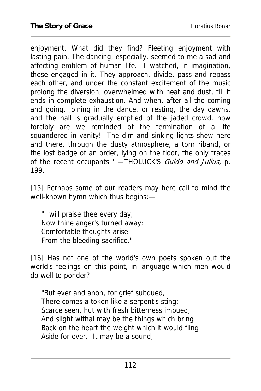enjoyment. What did they find? Fleeting enjoyment with lasting pain. The dancing, especially, seemed to me a sad and affecting emblem of human life. I watched, in imagination, those engaged in it. They approach, divide, pass and repass each other, and under the constant excitement of the music prolong the diversion, overwhelmed with heat and dust, till it ends in complete exhaustion. And when, after all the coming and going, joining in the dance, or resting, the day dawns, and the hall is gradually emptied of the jaded crowd, how forcibly are we reminded of the termination of a life squandered in vanity! The dim and sinking lights shew here and there, through the dusty atmosphere, a torn riband, or the lost badge of an order, lying on the floor, the only traces of the recent occupants." - THOLUCK'S Guido and Julius, p. 199.

[15] Perhaps some of our readers may here call to mind the well-known hymn which thus begins:—

"I will praise thee every day, Now thine anger's turned away: Comfortable thoughts arise From the bleeding sacrifice."

[16] Has not one of the world's own poets spoken out the world's feelings on this point, in language which men would do well to ponder?—

"But ever and anon, for grief subdued, There comes a token like a serpent's sting; Scarce seen, hut with fresh bitterness imbued; And slight withal may be the things which bring Back on the heart the weight which it would fling Aside for ever. It may be a sound,